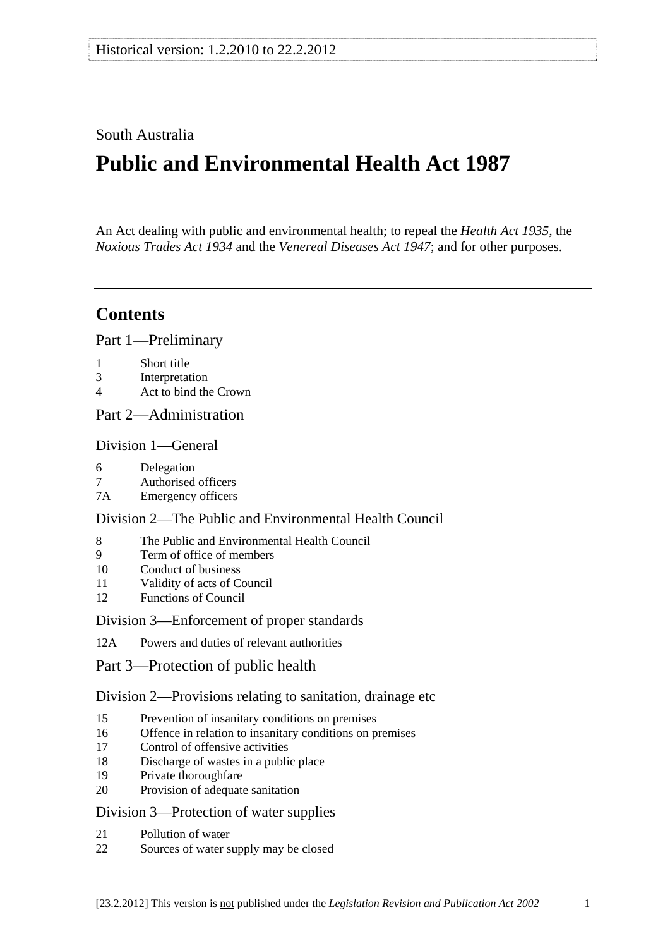## South Australia

# **Public and Environmental Health Act 1987**

An Act dealing with public and environmental health; to repeal the *[Health Act 1935](http://www.legislation.sa.gov.au/index.aspx?action=legref&type=act&legtitle=Health%20Act%201935)*, the *[Noxious Trades Act 1934](http://www.legislation.sa.gov.au/index.aspx?action=legref&type=act&legtitle=Noxious%20Trades%20Act%201934)* and the *[Venereal Diseases Act 1947](http://www.legislation.sa.gov.au/index.aspx?action=legref&type=act&legtitle=Venereal%20Diseases%20Act%201947)*; and for other purposes.

## **Contents**

[Part 1—Preliminary](#page-2-0)

- [1 Short title](#page-2-0)
- [3 Interpretation](#page-2-0)
- [4 Act to bind the Crown](#page-4-0)

[Part 2—Administration](#page-5-0) 

#### [Division 1—General](#page-5-0)

- [6 Delegation](#page-5-0)
- [7 Authorised officers](#page-5-0)
- [7A Emergency officers](#page-5-0)

#### [Division 2—The Public and Environmental Health Council](#page-6-0)

- [8 The Public and Environmental Health Council](#page-6-0)
- [9 Term of office of members](#page-7-0)
- [10 Conduct of business](#page-7-0)
- [11 Validity of acts of Council](#page-7-0)
- [12 Functions of Council](#page-8-0)

#### [Division 3—Enforcement of proper standards](#page-8-0)

[12A Powers and duties of relevant authorities](#page-8-0)

[Part 3—Protection of public health](#page-10-0)

[Division 2—Provisions relating to sanitation, drainage etc](#page-10-0)

- [15 Prevention of insanitary conditions on premises](#page-10-0)
- [16 Offence in relation to insanitary conditions on premises](#page-10-0)
- [17 Control of offensive activities](#page-11-0)
- [18 Discharge of wastes in a public place](#page-11-0)
- [19 Private thoroughfare](#page-11-0)
- [20 Provision of adequate sanitation](#page-12-0)

#### [Division 3—Protection of water supplies](#page-12-0)

- [21 Pollution of water](#page-12-0)
- [22 Sources of water supply may be closed](#page-13-0)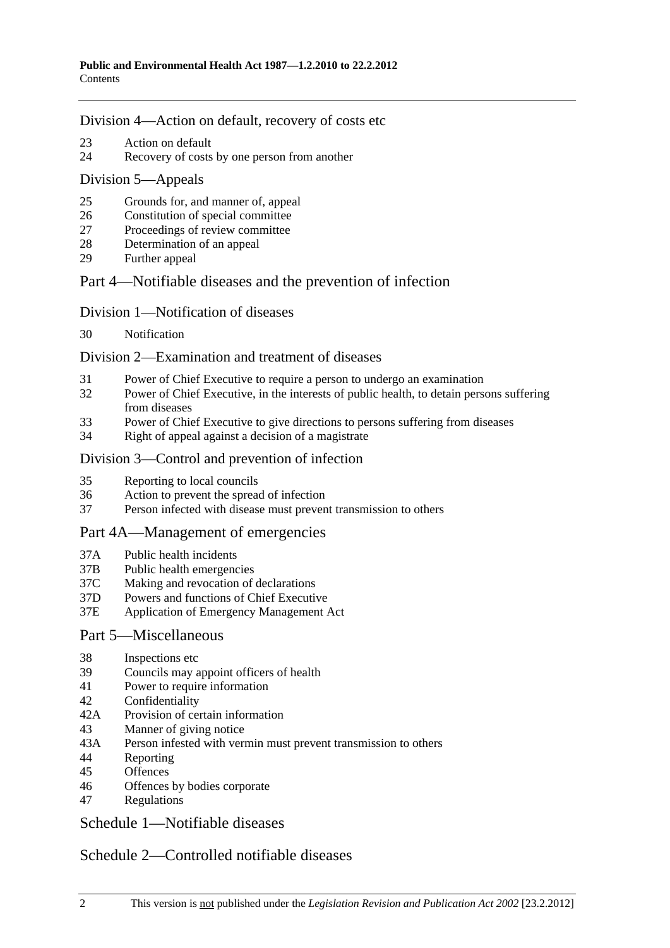#### [Division 4—Action on default, recovery of costs etc](#page-13-0)

- [23 Action on default](#page-13-0)
- [24 Recovery of costs by one person from another](#page-14-0)

#### [Division 5—Appeals](#page-14-0)

- [25 Grounds for, and manner of, appeal](#page-14-0)
- [26 Constitution of special committee](#page-14-0)
- [27 Proceedings of review committee](#page-14-0)
- [28 Determination of an appeal](#page-15-0)
- [29 Further appeal](#page-15-0)

## [Part 4—Notifiable diseases and the prevention of infection](#page-15-0)

### [Division 1—Notification of diseases](#page-15-0)

[30 Notification](#page-15-0) 

### [Division 2—Examination and treatment of diseases](#page-16-0)

- [31 Power of Chief Executive to require a person to undergo an examination](#page-16-0)
- [32 Power of Chief Executive, in the interests of public health, to detain persons suffering](#page-16-0)  [from diseases](#page-16-0)
- [33 Power of Chief Executive to give directions to persons suffering from diseases](#page-17-0)
- [34 Right of appeal against a decision of a magistrate](#page-18-0)

## [Division 3—Control and prevention of infection](#page-18-0)

- [35 Reporting to local councils](#page-18-0)
- [36 Action to prevent the spread of infection](#page-19-0)
- [37 Person infected with disease must prevent transmission to others](#page-19-0)

### [Part 4A—Management of emergencies](#page-20-0)

- [37A Public health incidents](#page-20-0)
- [37B Public health emergencies](#page-20-0)
- [37C Making and revocation of declarations](#page-20-0)
- [37D Powers and functions of Chief Executive](#page-20-0)
- [37E Application of Emergency Management Act](#page-21-0)

### [Part 5—Miscellaneous](#page-22-0)

- [38 Inspections etc](#page-22-0)
- [39 Councils may appoint officers of health](#page-23-0)
- [41 Power to require information](#page-23-0)
- [42 Confidentiality](#page-23-0)
- [42A Provision of certain information](#page-24-0)
- [43 Manner of giving notice](#page-24-0)
- [43A Person infested with vermin must prevent transmission to others](#page-24-0)
- [44 Reporting](#page-25-0)
- [45 Offences](#page-25-0)
- [46 Offences by bodies corporate](#page-26-0)
- [47 Regulations](#page-26-0)

[Schedule 1—Notifiable diseases](#page-28-0) 

## [Schedule 2—Controlled notifiable diseases](#page-29-0)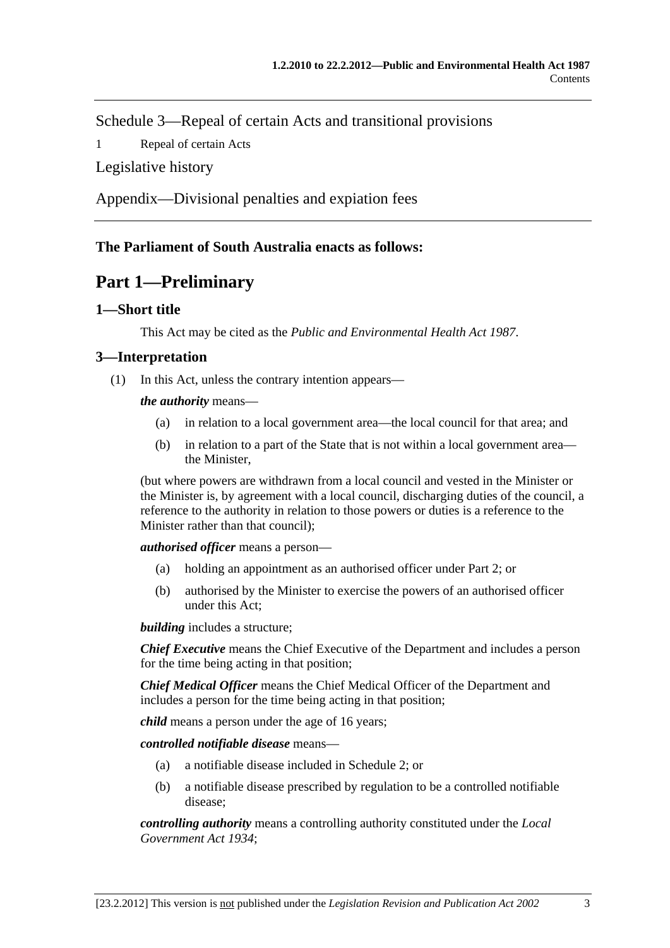<span id="page-2-0"></span>[Schedule 3—Repeal of certain Acts and transitional provisions](#page-30-0) 

Repeal of certain Acts

[Legislative history](#page-32-0) 

[Appendix—Divisional penalties and expiation fees](#page-37-0)

## **The Parliament of South Australia enacts as follows:**

# **Part 1—Preliminary**

### **1—Short title**

This Act may be cited as the *Public and Environmental Health Act 1987*.

## **3—Interpretation**

(1) In this Act, unless the contrary intention appears—

*the authority* means—

- (a) in relation to a local government area—the local council for that area; and
- (b) in relation to a part of the State that is not within a local government area the Minister,

(but where powers are withdrawn from a local council and vested in the Minister or the Minister is, by agreement with a local council, discharging duties of the council, a reference to the authority in relation to those powers or duties is a reference to the Minister rather than that council);

*authorised officer* means a person—

- (a) holding an appointment as an authorised officer under [Part 2](#page-5-0); or
- (b) authorised by the Minister to exercise the powers of an authorised officer under this Act;

*building* includes a structure;

*Chief Executive* means the Chief Executive of the Department and includes a person for the time being acting in that position;

*Chief Medical Officer* means the Chief Medical Officer of the Department and includes a person for the time being acting in that position;

*child* means a person under the age of 16 years;

*controlled notifiable disease* means—

- (a) a notifiable disease included in [Schedule 2;](#page-29-0) or
- (b) a notifiable disease prescribed by regulation to be a controlled notifiable disease;

*controlling authority* means a controlling authority constituted under the *[Local](http://www.legislation.sa.gov.au/index.aspx?action=legref&type=act&legtitle=Local%20Government%20Act%201934)  [Government Act 1934](http://www.legislation.sa.gov.au/index.aspx?action=legref&type=act&legtitle=Local%20Government%20Act%201934)*;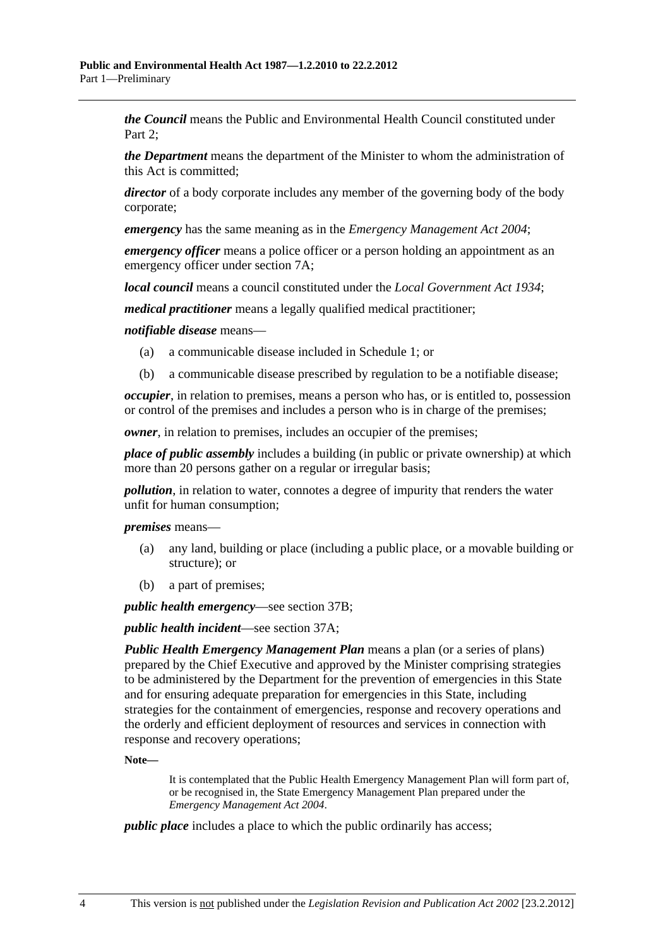*the Council* means the Public and Environmental Health Council constituted under [Part 2;](#page-5-0)

*the Department* means the department of the Minister to whom the administration of this Act is committed;

*director* of a body corporate includes any member of the governing body of the body corporate;

*emergency* has the same meaning as in the *[Emergency Management Act 2004](http://www.legislation.sa.gov.au/index.aspx?action=legref&type=act&legtitle=Emergency%20Management%20Act%202004)*;

*emergency officer* means a police officer or a person holding an appointment as an emergency officer under [section 7A](#page-5-0);

*local council* means a council constituted under the *[Local Government Act 1934](http://www.legislation.sa.gov.au/index.aspx?action=legref&type=act&legtitle=Local%20Government%20Act%201934)*;

*medical practitioner* means a legally qualified medical practitioner;

*notifiable disease* means—

- (a) a communicable disease included in [Schedule 1](#page-28-0); or
- (b) a communicable disease prescribed by regulation to be a notifiable disease;

*occupier*, in relation to premises, means a person who has, or is entitled to, possession or control of the premises and includes a person who is in charge of the premises;

*owner*, in relation to premises, includes an occupier of the premises;

*place of public assembly* includes a building (in public or private ownership) at which more than 20 persons gather on a regular or irregular basis;

*pollution*, in relation to water, connotes a degree of impurity that renders the water unfit for human consumption;

*premises* means—

- (a) any land, building or place (including a public place, or a movable building or structure); or
- (b) a part of premises;

*public health emergency*—see [section 37B;](#page-20-0)

*public health incident*—see [section 37A](#page-20-0);

*Public Health Emergency Management Plan* means a plan (or a series of plans) prepared by the Chief Executive and approved by the Minister comprising strategies to be administered by the Department for the prevention of emergencies in this State and for ensuring adequate preparation for emergencies in this State, including strategies for the containment of emergencies, response and recovery operations and the orderly and efficient deployment of resources and services in connection with response and recovery operations;

**Note—** 

It is contemplated that the Public Health Emergency Management Plan will form part of, or be recognised in, the State Emergency Management Plan prepared under the *[Emergency Management Act 2004](http://www.legislation.sa.gov.au/index.aspx?action=legref&type=act&legtitle=Emergency%20Management%20Act%202004)*.

*public place* includes a place to which the public ordinarily has access;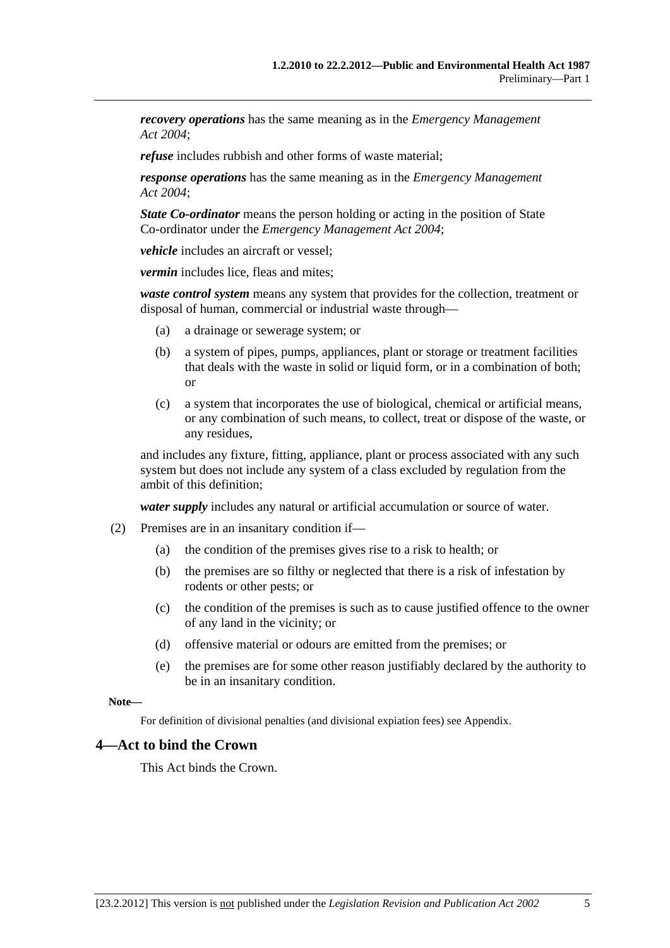<span id="page-4-0"></span>*recovery operations* has the same meaning as in the *[Emergency Management](http://www.legislation.sa.gov.au/index.aspx?action=legref&type=act&legtitle=Emergency%20Management%20Act%202004)  [Act 2004](http://www.legislation.sa.gov.au/index.aspx?action=legref&type=act&legtitle=Emergency%20Management%20Act%202004)*;

*refuse* includes rubbish and other forms of waste material;

*response operations* has the same meaning as in the *[Emergency Management](http://www.legislation.sa.gov.au/index.aspx?action=legref&type=act&legtitle=Emergency%20Management%20Act%202004)  [Act 2004](http://www.legislation.sa.gov.au/index.aspx?action=legref&type=act&legtitle=Emergency%20Management%20Act%202004)*;

*State Co-ordinator* means the person holding or acting in the position of State Co-ordinator under the *[Emergency Management Act 2004](http://www.legislation.sa.gov.au/index.aspx?action=legref&type=act&legtitle=Emergency%20Management%20Act%202004)*;

*vehicle* includes an aircraft or vessel;

*vermin* includes lice, fleas and mites;

*waste control system* means any system that provides for the collection, treatment or disposal of human, commercial or industrial waste through—

- (a) a drainage or sewerage system; or
- (b) a system of pipes, pumps, appliances, plant or storage or treatment facilities that deals with the waste in solid or liquid form, or in a combination of both; or
- (c) a system that incorporates the use of biological, chemical or artificial means, or any combination of such means, to collect, treat or dispose of the waste, or any residues,

and includes any fixture, fitting, appliance, plant or process associated with any such system but does not include any system of a class excluded by regulation from the ambit of this definition;

*water supply* includes any natural or artificial accumulation or source of water.

- (2) Premises are in an insanitary condition if—
	- (a) the condition of the premises gives rise to a risk to health; or
	- (b) the premises are so filthy or neglected that there is a risk of infestation by rodents or other pests; or
	- (c) the condition of the premises is such as to cause justified offence to the owner of any land in the vicinity; or
	- (d) offensive material or odours are emitted from the premises; or
	- (e) the premises are for some other reason justifiably declared by the authority to be in an insanitary condition.

**Note—** 

For definition of divisional penalties (and divisional expiation fees) see Appendix.

#### **4—Act to bind the Crown**

This Act binds the Crown.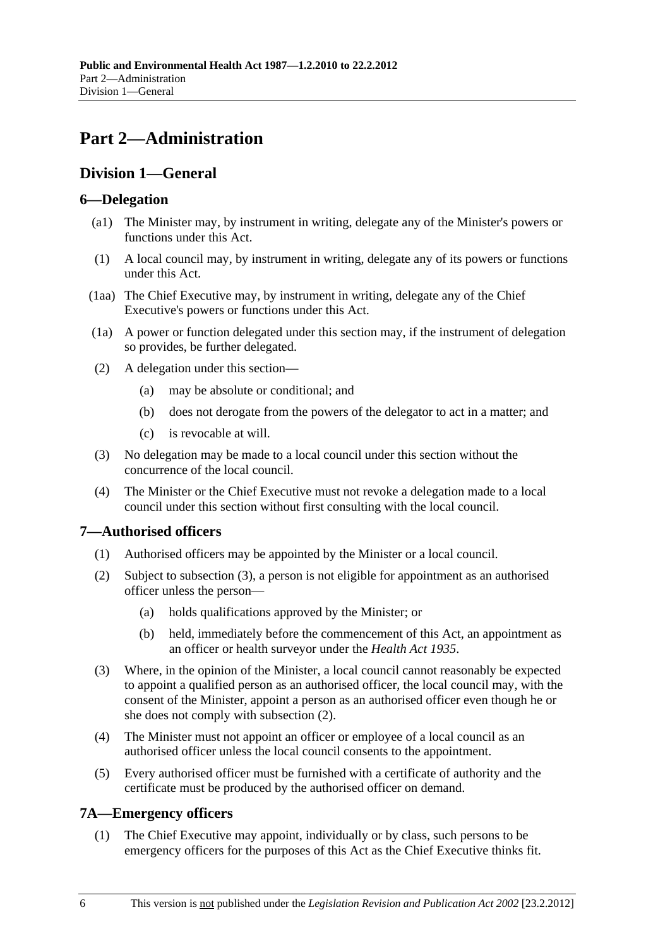# <span id="page-5-0"></span>**Part 2—Administration**

## **Division 1—General**

### **6—Delegation**

- (a1) The Minister may, by instrument in writing, delegate any of the Minister's powers or functions under this Act.
- (1) A local council may, by instrument in writing, delegate any of its powers or functions under this Act.
- (1aa) The Chief Executive may, by instrument in writing, delegate any of the Chief Executive's powers or functions under this Act.
- (1a) A power or function delegated under this section may, if the instrument of delegation so provides, be further delegated.
- (2) A delegation under this section—
	- (a) may be absolute or conditional; and
	- (b) does not derogate from the powers of the delegator to act in a matter; and
	- (c) is revocable at will.
- (3) No delegation may be made to a local council under this section without the concurrence of the local council.
- (4) The Minister or the Chief Executive must not revoke a delegation made to a local council under this section without first consulting with the local council.

## **7—Authorised officers**

- (1) Authorised officers may be appointed by the Minister or a local council.
- (2) Subject to [subsection \(3\),](#page-5-0) a person is not eligible for appointment as an authorised officer unless the person—
	- (a) holds qualifications approved by the Minister; or
	- (b) held, immediately before the commencement of this Act, an appointment as an officer or health surveyor under the *[Health Act 1935](http://www.legislation.sa.gov.au/index.aspx?action=legref&type=act&legtitle=Health%20Act%201935)*.
- (3) Where, in the opinion of the Minister, a local council cannot reasonably be expected to appoint a qualified person as an authorised officer, the local council may, with the consent of the Minister, appoint a person as an authorised officer even though he or she does not comply with [subsection \(2\).](#page-5-0)
- (4) The Minister must not appoint an officer or employee of a local council as an authorised officer unless the local council consents to the appointment.
- (5) Every authorised officer must be furnished with a certificate of authority and the certificate must be produced by the authorised officer on demand.

## **7A—Emergency officers**

 (1) The Chief Executive may appoint, individually or by class, such persons to be emergency officers for the purposes of this Act as the Chief Executive thinks fit.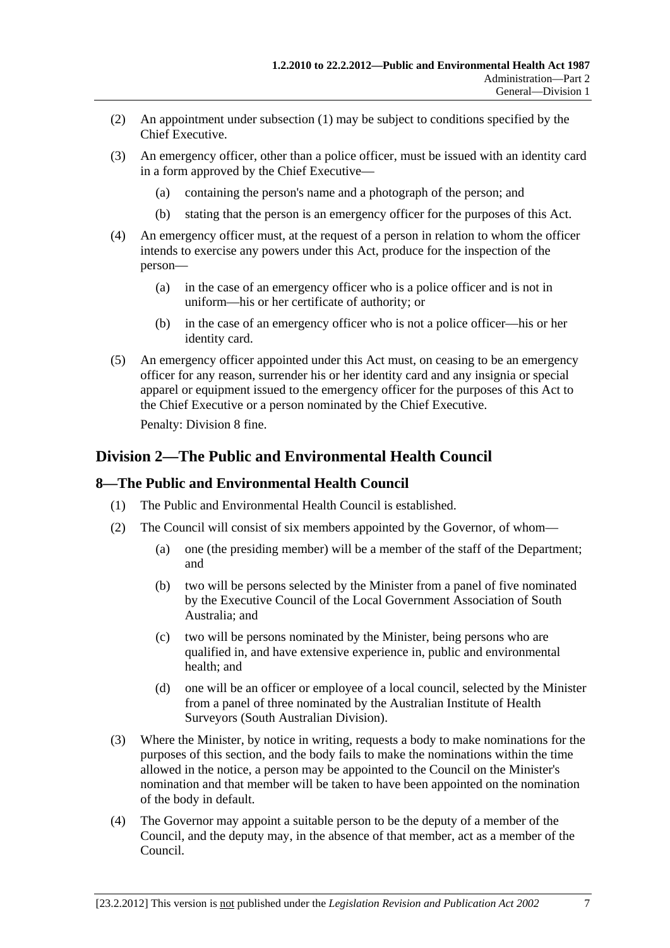- <span id="page-6-0"></span> (2) An appointment under [subsection \(1\)](#page-5-0) may be subject to conditions specified by the Chief Executive.
- (3) An emergency officer, other than a police officer, must be issued with an identity card in a form approved by the Chief Executive—
	- (a) containing the person's name and a photograph of the person; and
	- (b) stating that the person is an emergency officer for the purposes of this Act.
- (4) An emergency officer must, at the request of a person in relation to whom the officer intends to exercise any powers under this Act, produce for the inspection of the person—
	- (a) in the case of an emergency officer who is a police officer and is not in uniform—his or her certificate of authority; or
	- (b) in the case of an emergency officer who is not a police officer—his or her identity card.
- (5) An emergency officer appointed under this Act must, on ceasing to be an emergency officer for any reason, surrender his or her identity card and any insignia or special apparel or equipment issued to the emergency officer for the purposes of this Act to the Chief Executive or a person nominated by the Chief Executive.

Penalty: Division 8 fine.

## **Division 2—The Public and Environmental Health Council**

### **8—The Public and Environmental Health Council**

- (1) The Public and Environmental Health Council is established.
- (2) The Council will consist of six members appointed by the Governor, of whom—
	- (a) one (the presiding member) will be a member of the staff of the Department; and
	- (b) two will be persons selected by the Minister from a panel of five nominated by the Executive Council of the Local Government Association of South Australia; and
	- (c) two will be persons nominated by the Minister, being persons who are qualified in, and have extensive experience in, public and environmental health; and
	- (d) one will be an officer or employee of a local council, selected by the Minister from a panel of three nominated by the Australian Institute of Health Surveyors (South Australian Division).
- (3) Where the Minister, by notice in writing, requests a body to make nominations for the purposes of this section, and the body fails to make the nominations within the time allowed in the notice, a person may be appointed to the Council on the Minister's nomination and that member will be taken to have been appointed on the nomination of the body in default.
- (4) The Governor may appoint a suitable person to be the deputy of a member of the Council, and the deputy may, in the absence of that member, act as a member of the Council.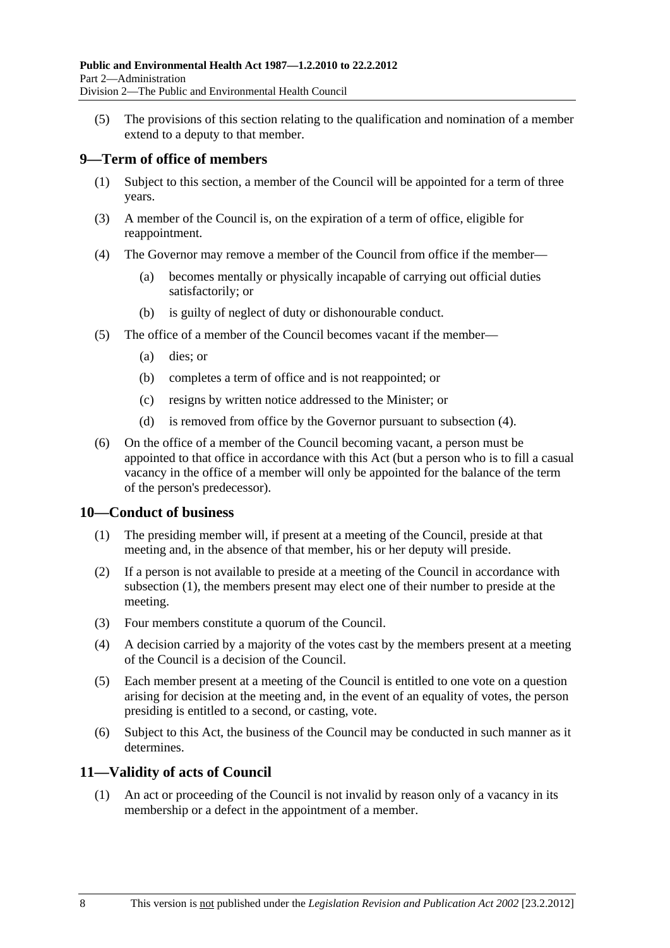<span id="page-7-0"></span> (5) The provisions of this section relating to the qualification and nomination of a member extend to a deputy to that member.

### **9—Term of office of members**

- (1) Subject to this section, a member of the Council will be appointed for a term of three years.
- (3) A member of the Council is, on the expiration of a term of office, eligible for reappointment.
- (4) The Governor may remove a member of the Council from office if the member—
	- (a) becomes mentally or physically incapable of carrying out official duties satisfactorily; or
	- (b) is guilty of neglect of duty or dishonourable conduct.
- (5) The office of a member of the Council becomes vacant if the member—
	- (a) dies; or
	- (b) completes a term of office and is not reappointed; or
	- (c) resigns by written notice addressed to the Minister; or
	- (d) is removed from office by the Governor pursuant to [subsection \(4\)](#page-7-0).
- (6) On the office of a member of the Council becoming vacant, a person must be appointed to that office in accordance with this Act (but a person who is to fill a casual vacancy in the office of a member will only be appointed for the balance of the term of the person's predecessor).

### **10—Conduct of business**

- (1) The presiding member will, if present at a meeting of the Council, preside at that meeting and, in the absence of that member, his or her deputy will preside.
- (2) If a person is not available to preside at a meeting of the Council in accordance with [subsection \(1\)](#page-7-0), the members present may elect one of their number to preside at the meeting.
- (3) Four members constitute a quorum of the Council.
- (4) A decision carried by a majority of the votes cast by the members present at a meeting of the Council is a decision of the Council.
- (5) Each member present at a meeting of the Council is entitled to one vote on a question arising for decision at the meeting and, in the event of an equality of votes, the person presiding is entitled to a second, or casting, vote.
- (6) Subject to this Act, the business of the Council may be conducted in such manner as it determines.

### **11—Validity of acts of Council**

 (1) An act or proceeding of the Council is not invalid by reason only of a vacancy in its membership or a defect in the appointment of a member.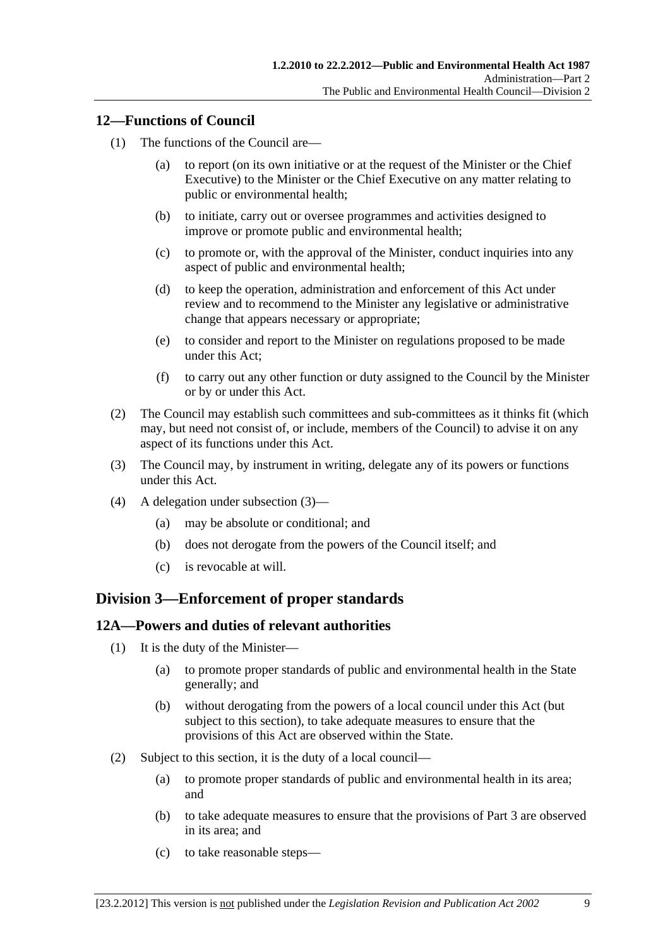### <span id="page-8-0"></span>**12—Functions of Council**

- (1) The functions of the Council are—
	- (a) to report (on its own initiative or at the request of the Minister or the Chief Executive) to the Minister or the Chief Executive on any matter relating to public or environmental health;
	- (b) to initiate, carry out or oversee programmes and activities designed to improve or promote public and environmental health;
	- (c) to promote or, with the approval of the Minister, conduct inquiries into any aspect of public and environmental health;
	- (d) to keep the operation, administration and enforcement of this Act under review and to recommend to the Minister any legislative or administrative change that appears necessary or appropriate;
	- (e) to consider and report to the Minister on regulations proposed to be made under this Act;
	- (f) to carry out any other function or duty assigned to the Council by the Minister or by or under this Act.
- (2) The Council may establish such committees and sub-committees as it thinks fit (which may, but need not consist of, or include, members of the Council) to advise it on any aspect of its functions under this Act.
- (3) The Council may, by instrument in writing, delegate any of its powers or functions under this Act.
- (4) A delegation under [subsection \(3\)—](#page-8-0)
	- (a) may be absolute or conditional; and
	- (b) does not derogate from the powers of the Council itself; and
	- (c) is revocable at will.

### **Division 3—Enforcement of proper standards**

#### **12A—Powers and duties of relevant authorities**

- (1) It is the duty of the Minister—
	- (a) to promote proper standards of public and environmental health in the State generally; and
	- (b) without derogating from the powers of a local council under this Act (but subject to this section), to take adequate measures to ensure that the provisions of this Act are observed within the State.
- (2) Subject to this section, it is the duty of a local council—
	- (a) to promote proper standards of public and environmental health in its area; and
	- (b) to take adequate measures to ensure that the provisions of [Part 3](#page-10-0) are observed in its area; and
	- (c) to take reasonable steps—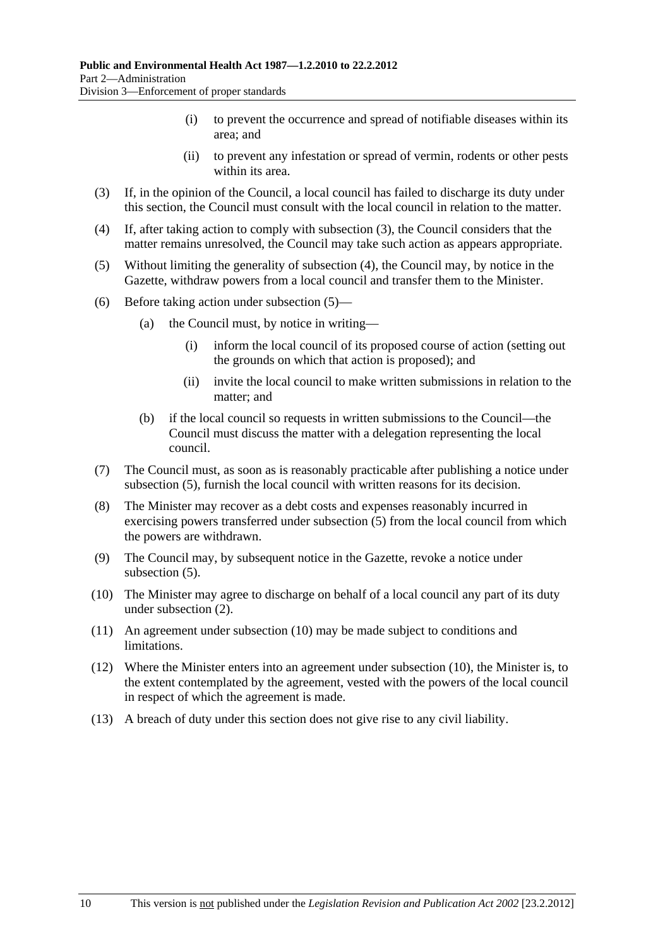- (i) to prevent the occurrence and spread of notifiable diseases within its area; and
- (ii) to prevent any infestation or spread of vermin, rodents or other pests within its area.
- <span id="page-9-0"></span> (3) If, in the opinion of the Council, a local council has failed to discharge its duty under this section, the Council must consult with the local council in relation to the matter.
- (4) If, after taking action to comply with [subsection \(3\),](#page-9-0) the Council considers that the matter remains unresolved, the Council may take such action as appears appropriate.
- (5) Without limiting the generality of [subsection \(4\),](#page-9-0) the Council may, by notice in the Gazette, withdraw powers from a local council and transfer them to the Minister.
- (6) Before taking action under [subsection \(5\)](#page-9-0)
	- (a) the Council must, by notice in writing—
		- (i) inform the local council of its proposed course of action (setting out the grounds on which that action is proposed); and
		- (ii) invite the local council to make written submissions in relation to the matter; and
	- (b) if the local council so requests in written submissions to the Council—the Council must discuss the matter with a delegation representing the local council.
- (7) The Council must, as soon as is reasonably practicable after publishing a notice under [subsection \(5\),](#page-9-0) furnish the local council with written reasons for its decision.
- (8) The Minister may recover as a debt costs and expenses reasonably incurred in exercising powers transferred under [subsection \(5\)](#page-9-0) from the local council from which the powers are withdrawn.
- (9) The Council may, by subsequent notice in the Gazette, revoke a notice under [subsection \(5\).](#page-9-0)
- (10) The Minister may agree to discharge on behalf of a local council any part of its duty under [subsection \(2\).](#page-8-0)
- (11) An agreement under [subsection \(10\)](#page-9-0) may be made subject to conditions and limitations.
- (12) Where the Minister enters into an agreement under [subsection \(10\)](#page-9-0), the Minister is, to the extent contemplated by the agreement, vested with the powers of the local council in respect of which the agreement is made.
- (13) A breach of duty under this section does not give rise to any civil liability.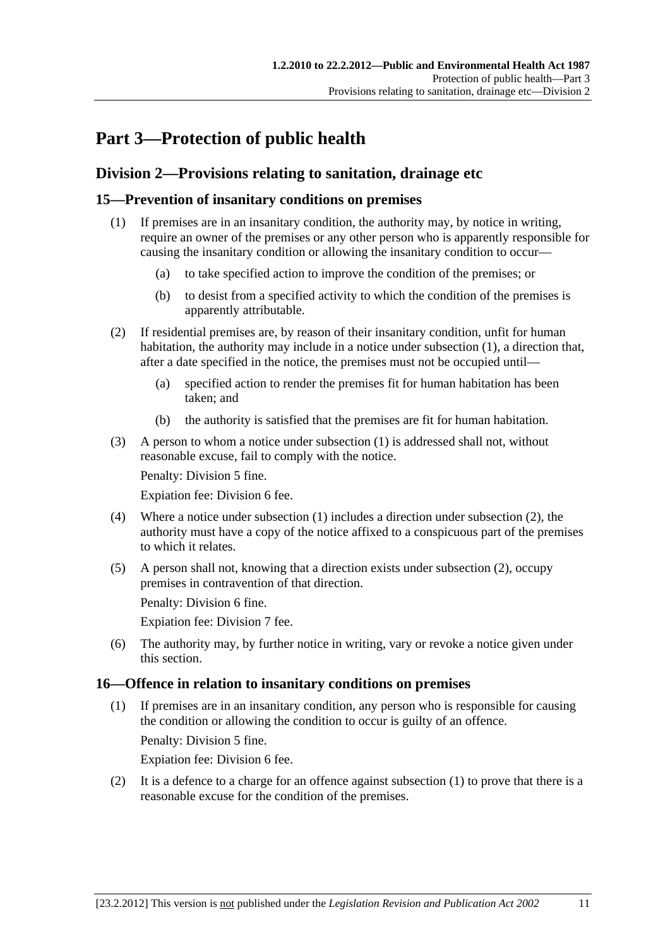# <span id="page-10-0"></span>**Part 3—Protection of public health**

## **Division 2—Provisions relating to sanitation, drainage etc**

### **15—Prevention of insanitary conditions on premises**

- (1) If premises are in an insanitary condition, the authority may, by notice in writing, require an owner of the premises or any other person who is apparently responsible for causing the insanitary condition or allowing the insanitary condition to occur—
	- (a) to take specified action to improve the condition of the premises; or
	- (b) to desist from a specified activity to which the condition of the premises is apparently attributable.
- (2) If residential premises are, by reason of their insanitary condition, unfit for human habitation, the authority may include in a notice under [subsection \(1\),](#page-10-0) a direction that, after a date specified in the notice, the premises must not be occupied until—
	- (a) specified action to render the premises fit for human habitation has been taken; and
	- (b) the authority is satisfied that the premises are fit for human habitation.
- (3) A person to whom a notice under [subsection \(1\)](#page-10-0) is addressed shall not, without reasonable excuse, fail to comply with the notice.

Penalty: Division 5 fine.

Expiation fee: Division 6 fee.

- (4) Where a notice under [subsection \(1\)](#page-10-0) includes a direction under [subsection \(2\),](#page-10-0) the authority must have a copy of the notice affixed to a conspicuous part of the premises to which it relates.
- (5) A person shall not, knowing that a direction exists under [subsection \(2\),](#page-10-0) occupy premises in contravention of that direction.

Penalty: Division 6 fine.

Expiation fee: Division 7 fee.

 (6) The authority may, by further notice in writing, vary or revoke a notice given under this section.

### **16—Offence in relation to insanitary conditions on premises**

 (1) If premises are in an insanitary condition, any person who is responsible for causing the condition or allowing the condition to occur is guilty of an offence.

Penalty: Division 5 fine.

Expiation fee: Division 6 fee.

 (2) It is a defence to a charge for an offence against [subsection \(1\)](#page-10-0) to prove that there is a reasonable excuse for the condition of the premises.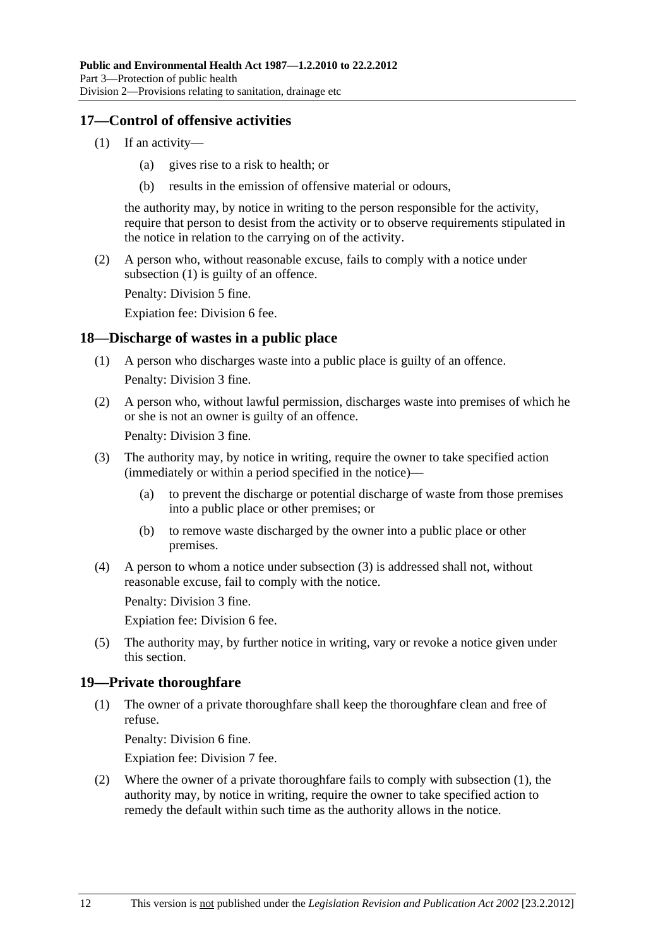### <span id="page-11-0"></span>**17—Control of offensive activities**

- (1) If an activity—
	- (a) gives rise to a risk to health; or
	- (b) results in the emission of offensive material or odours,

the authority may, by notice in writing to the person responsible for the activity, require that person to desist from the activity or to observe requirements stipulated in the notice in relation to the carrying on of the activity.

 (2) A person who, without reasonable excuse, fails to comply with a notice under [subsection \(1\)](#page-11-0) is guilty of an offence.

Penalty: Division 5 fine.

Expiation fee: Division 6 fee.

### **18—Discharge of wastes in a public place**

- (1) A person who discharges waste into a public place is guilty of an offence. Penalty: Division 3 fine.
- (2) A person who, without lawful permission, discharges waste into premises of which he or she is not an owner is guilty of an offence.

Penalty: Division 3 fine.

- (3) The authority may, by notice in writing, require the owner to take specified action (immediately or within a period specified in the notice)—
	- (a) to prevent the discharge or potential discharge of waste from those premises into a public place or other premises; or
	- (b) to remove waste discharged by the owner into a public place or other premises.
- (4) A person to whom a notice under [subsection \(3\)](#page-11-0) is addressed shall not, without reasonable excuse, fail to comply with the notice.

Penalty: Division 3 fine.

Expiation fee: Division 6 fee.

 (5) The authority may, by further notice in writing, vary or revoke a notice given under this section.

### **19—Private thoroughfare**

 (1) The owner of a private thoroughfare shall keep the thoroughfare clean and free of refuse.

Penalty: Division 6 fine.

Expiation fee: Division 7 fee.

 (2) Where the owner of a private thoroughfare fails to comply with [subsection \(1\)](#page-11-0), the authority may, by notice in writing, require the owner to take specified action to remedy the default within such time as the authority allows in the notice.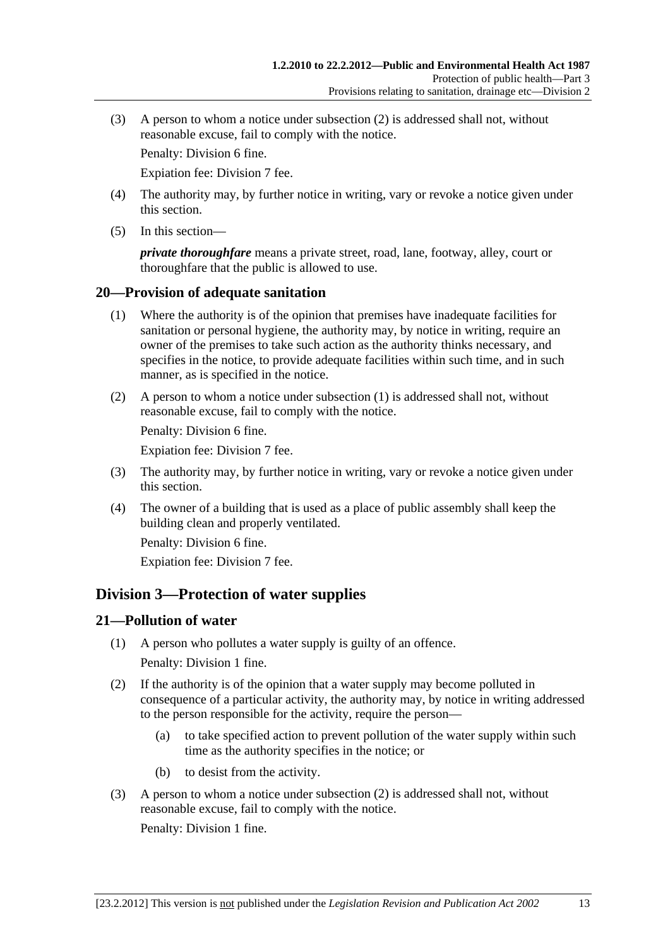<span id="page-12-0"></span> (3) A person to whom a notice under [subsection \(2\)](#page-11-0) is addressed shall not, without reasonable excuse, fail to comply with the notice.

Penalty: Division 6 fine.

Expiation fee: Division 7 fee.

- (4) The authority may, by further notice in writing, vary or revoke a notice given under this section.
- (5) In this section—

*private thoroughfare* means a private street, road, lane, footway, alley, court or thoroughfare that the public is allowed to use.

#### **20—Provision of adequate sanitation**

- (1) Where the authority is of the opinion that premises have inadequate facilities for sanitation or personal hygiene, the authority may, by notice in writing, require an owner of the premises to take such action as the authority thinks necessary, and specifies in the notice, to provide adequate facilities within such time, and in such manner, as is specified in the notice.
- (2) A person to whom a notice under [subsection \(1\)](#page-12-0) is addressed shall not, without reasonable excuse, fail to comply with the notice.

Penalty: Division 6 fine.

Expiation fee: Division 7 fee.

- (3) The authority may, by further notice in writing, vary or revoke a notice given under this section.
- (4) The owner of a building that is used as a place of public assembly shall keep the building clean and properly ventilated.

Penalty: Division 6 fine.

Expiation fee: Division 7 fee.

## **Division 3—Protection of water supplies**

### **21—Pollution of water**

- (1) A person who pollutes a water supply is guilty of an offence. Penalty: Division 1 fine.
- (2) If the authority is of the opinion that a water supply may become polluted in consequence of a particular activity, the authority may, by notice in writing addressed to the person responsible for the activity, require the person—
	- (a) to take specified action to prevent pollution of the water supply within such time as the authority specifies in the notice; or
	- (b) to desist from the activity.
- (3) A person to whom a notice under [subsection \(2\)](#page-12-0) is addressed shall not, without reasonable excuse, fail to comply with the notice. Penalty: Division 1 fine.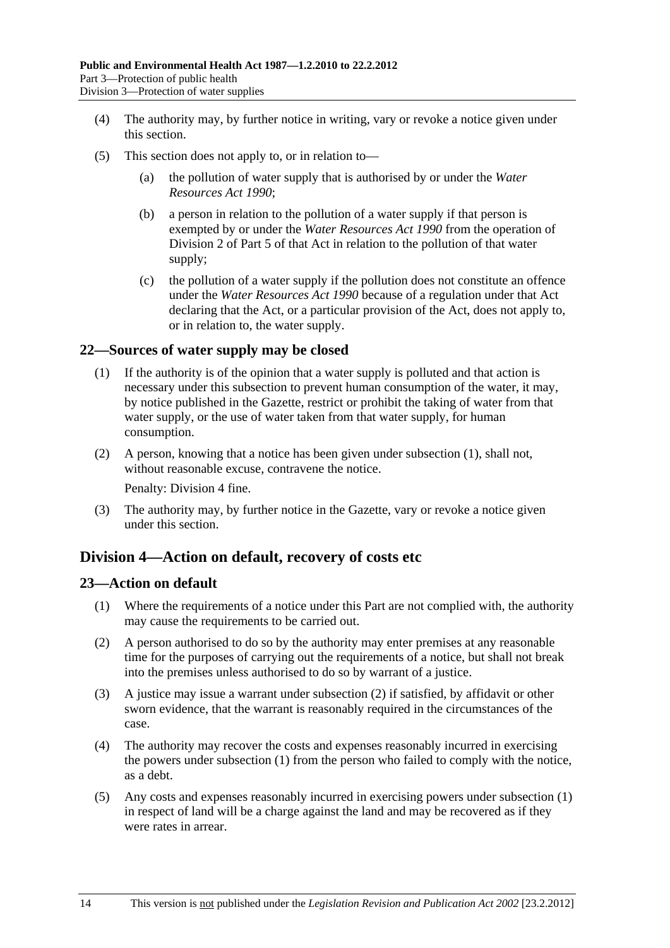- <span id="page-13-0"></span> (4) The authority may, by further notice in writing, vary or revoke a notice given under this section.
- (5) This section does not apply to, or in relation to—
	- (a) the pollution of water supply that is authorised by or under the *[Water](http://www.legislation.sa.gov.au/index.aspx?action=legref&type=act&legtitle=Water%20Resources%20Act%201990)  [Resources Act 1990](http://www.legislation.sa.gov.au/index.aspx?action=legref&type=act&legtitle=Water%20Resources%20Act%201990)*;
	- (b) a person in relation to the pollution of a water supply if that person is exempted by or under the *[Water Resources Act 1990](http://www.legislation.sa.gov.au/index.aspx?action=legref&type=act&legtitle=Water%20Resources%20Act%201990)* from the operation of Division 2 of Part 5 of that Act in relation to the pollution of that water supply;
	- (c) the pollution of a water supply if the pollution does not constitute an offence under the *[Water Resources Act 1990](http://www.legislation.sa.gov.au/index.aspx?action=legref&type=act&legtitle=Water%20Resources%20Act%201990)* because of a regulation under that Act declaring that the Act, or a particular provision of the Act, does not apply to, or in relation to, the water supply.

#### **22—Sources of water supply may be closed**

- (1) If the authority is of the opinion that a water supply is polluted and that action is necessary under this subsection to prevent human consumption of the water, it may, by notice published in the Gazette, restrict or prohibit the taking of water from that water supply, or the use of water taken from that water supply, for human consumption.
- (2) A person, knowing that a notice has been given under [subsection \(1\),](#page-13-0) shall not, without reasonable excuse, contravene the notice.

Penalty: Division 4 fine.

 (3) The authority may, by further notice in the Gazette, vary or revoke a notice given under this section.

## **Division 4—Action on default, recovery of costs etc**

#### **23—Action on default**

- (1) Where the requirements of a notice under this Part are not complied with, the authority may cause the requirements to be carried out.
- (2) A person authorised to do so by the authority may enter premises at any reasonable time for the purposes of carrying out the requirements of a notice, but shall not break into the premises unless authorised to do so by warrant of a justice.
- (3) A justice may issue a warrant under [subsection \(2\)](#page-13-0) if satisfied, by affidavit or other sworn evidence, that the warrant is reasonably required in the circumstances of the case.
- (4) The authority may recover the costs and expenses reasonably incurred in exercising the powers under [subsection \(1\)](#page-13-0) from the person who failed to comply with the notice, as a debt.
- (5) Any costs and expenses reasonably incurred in exercising powers under [subsection \(1\)](#page-13-0)  in respect of land will be a charge against the land and may be recovered as if they were rates in arrear.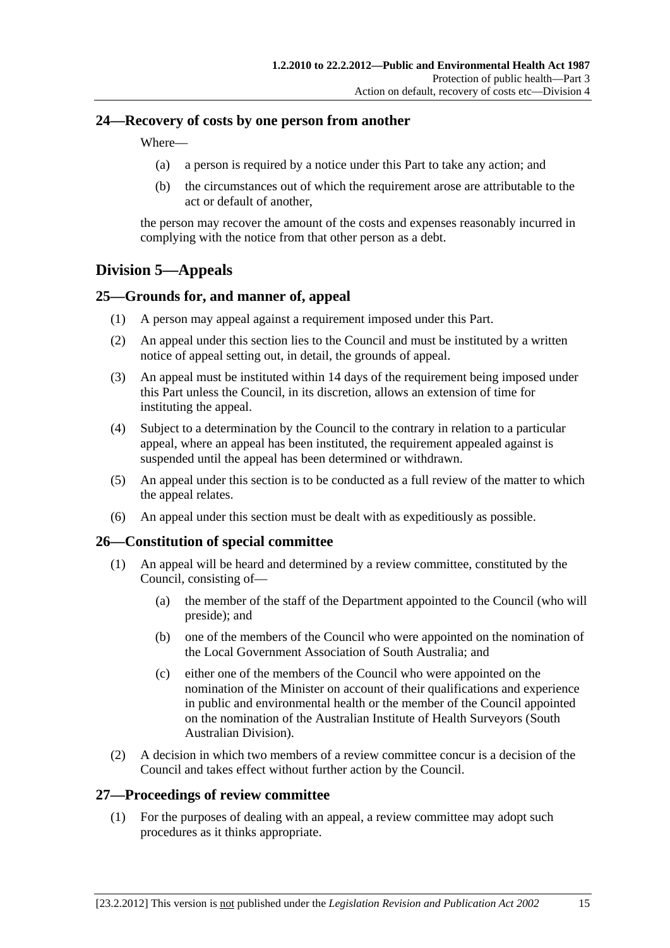### <span id="page-14-0"></span>**24—Recovery of costs by one person from another**

Where—

- (a) a person is required by a notice under this Part to take any action; and
- (b) the circumstances out of which the requirement arose are attributable to the act or default of another,

the person may recover the amount of the costs and expenses reasonably incurred in complying with the notice from that other person as a debt.

## **Division 5—Appeals**

### **25—Grounds for, and manner of, appeal**

- (1) A person may appeal against a requirement imposed under this Part.
- (2) An appeal under this section lies to the Council and must be instituted by a written notice of appeal setting out, in detail, the grounds of appeal.
- (3) An appeal must be instituted within 14 days of the requirement being imposed under this Part unless the Council, in its discretion, allows an extension of time for instituting the appeal.
- (4) Subject to a determination by the Council to the contrary in relation to a particular appeal, where an appeal has been instituted, the requirement appealed against is suspended until the appeal has been determined or withdrawn.
- (5) An appeal under this section is to be conducted as a full review of the matter to which the appeal relates.
- (6) An appeal under this section must be dealt with as expeditiously as possible.

### **26—Constitution of special committee**

- (1) An appeal will be heard and determined by a review committee, constituted by the Council, consisting of—
	- (a) the member of the staff of the Department appointed to the Council (who will preside); and
	- (b) one of the members of the Council who were appointed on the nomination of the Local Government Association of South Australia; and
	- (c) either one of the members of the Council who were appointed on the nomination of the Minister on account of their qualifications and experience in public and environmental health or the member of the Council appointed on the nomination of the Australian Institute of Health Surveyors (South Australian Division).
- (2) A decision in which two members of a review committee concur is a decision of the Council and takes effect without further action by the Council.

#### **27—Proceedings of review committee**

 (1) For the purposes of dealing with an appeal, a review committee may adopt such procedures as it thinks appropriate.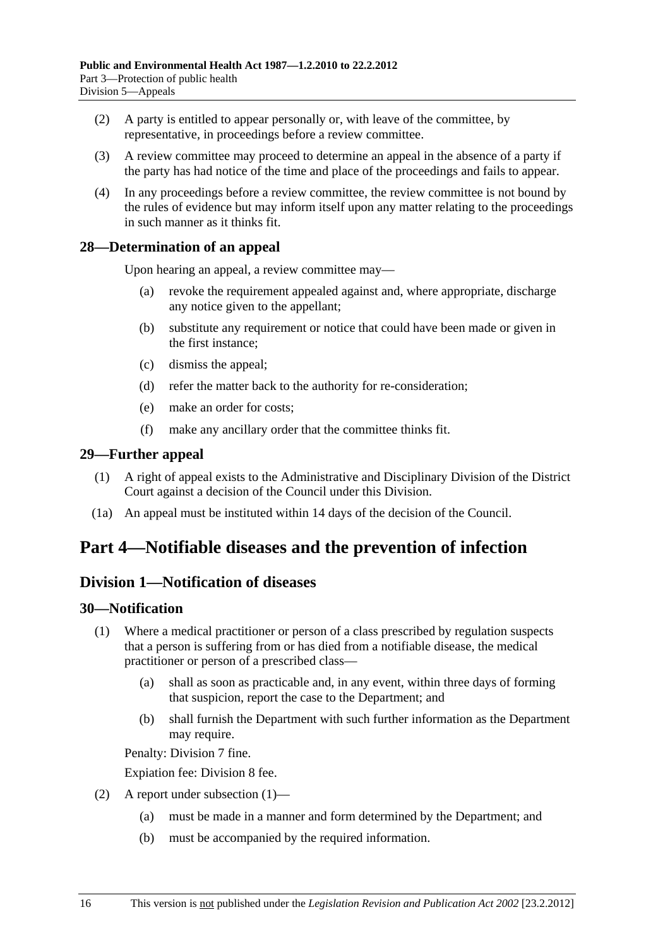- <span id="page-15-0"></span> (2) A party is entitled to appear personally or, with leave of the committee, by representative, in proceedings before a review committee.
- (3) A review committee may proceed to determine an appeal in the absence of a party if the party has had notice of the time and place of the proceedings and fails to appear.
- (4) In any proceedings before a review committee, the review committee is not bound by the rules of evidence but may inform itself upon any matter relating to the proceedings in such manner as it thinks fit.

## **28—Determination of an appeal**

Upon hearing an appeal, a review committee may—

- (a) revoke the requirement appealed against and, where appropriate, discharge any notice given to the appellant;
- (b) substitute any requirement or notice that could have been made or given in the first instance;
- (c) dismiss the appeal;
- (d) refer the matter back to the authority for re-consideration;
- (e) make an order for costs;
- (f) make any ancillary order that the committee thinks fit.

### **29—Further appeal**

- (1) A right of appeal exists to the Administrative and Disciplinary Division of the District Court against a decision of the Council under this Division.
- (1a) An appeal must be instituted within 14 days of the decision of the Council.

# **Part 4—Notifiable diseases and the prevention of infection**

## **Division 1—Notification of diseases**

### **30—Notification**

- (1) Where a medical practitioner or person of a class prescribed by regulation suspects that a person is suffering from or has died from a notifiable disease, the medical practitioner or person of a prescribed class—
	- (a) shall as soon as practicable and, in any event, within three days of forming that suspicion, report the case to the Department; and
	- (b) shall furnish the Department with such further information as the Department may require.

Penalty: Division 7 fine.

Expiation fee: Division 8 fee.

- (2) A report under [subsection \(1\)](#page-15-0)
	- (a) must be made in a manner and form determined by the Department; and
	- (b) must be accompanied by the required information.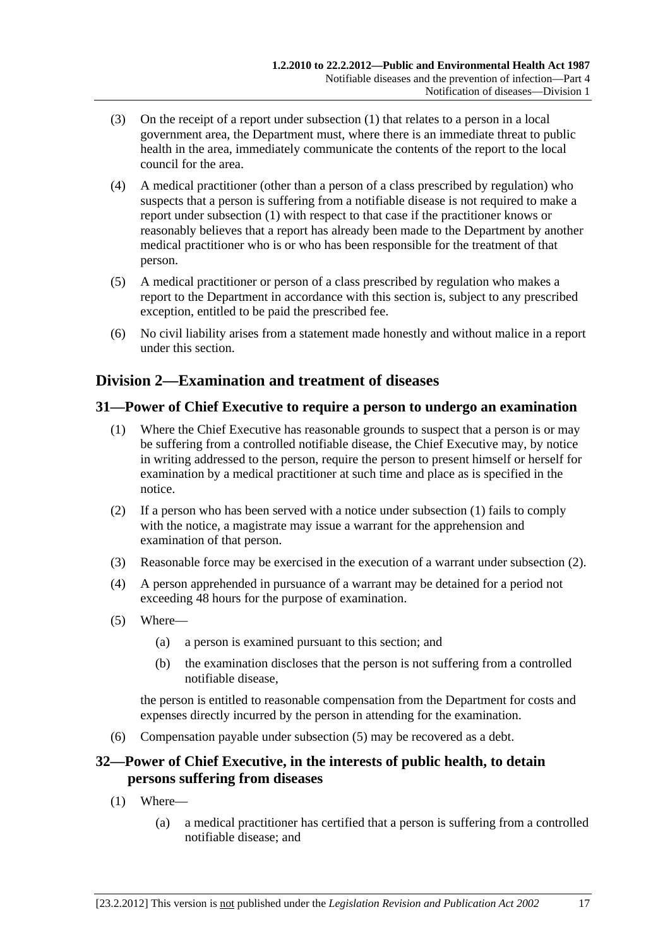- <span id="page-16-0"></span> (3) On the receipt of a report under [subsection \(1\)](#page-15-0) that relates to a person in a local government area, the Department must, where there is an immediate threat to public health in the area, immediately communicate the contents of the report to the local council for the area.
- (4) A medical practitioner (other than a person of a class prescribed by regulation) who suspects that a person is suffering from a notifiable disease is not required to make a report under [subsection \(1\)](#page-15-0) with respect to that case if the practitioner knows or reasonably believes that a report has already been made to the Department by another medical practitioner who is or who has been responsible for the treatment of that person.
- (5) A medical practitioner or person of a class prescribed by regulation who makes a report to the Department in accordance with this section is, subject to any prescribed exception, entitled to be paid the prescribed fee.
- (6) No civil liability arises from a statement made honestly and without malice in a report under this section.

# **Division 2—Examination and treatment of diseases**

## **31—Power of Chief Executive to require a person to undergo an examination**

- (1) Where the Chief Executive has reasonable grounds to suspect that a person is or may be suffering from a controlled notifiable disease, the Chief Executive may, by notice in writing addressed to the person, require the person to present himself or herself for examination by a medical practitioner at such time and place as is specified in the notice.
- (2) If a person who has been served with a notice under [subsection \(1\)](#page-16-0) fails to comply with the notice, a magistrate may issue a warrant for the apprehension and examination of that person.
- (3) Reasonable force may be exercised in the execution of a warrant under [subsection \(2\).](#page-16-0)
- (4) A person apprehended in pursuance of a warrant may be detained for a period not exceeding 48 hours for the purpose of examination.
- (5) Where—
	- (a) a person is examined pursuant to this section; and
	- (b) the examination discloses that the person is not suffering from a controlled notifiable disease,

the person is entitled to reasonable compensation from the Department for costs and expenses directly incurred by the person in attending for the examination.

(6) Compensation payable under [subsection \(5\)](#page-16-0) may be recovered as a debt.

## **32—Power of Chief Executive, in the interests of public health, to detain persons suffering from diseases**

- (1) Where—
	- (a) a medical practitioner has certified that a person is suffering from a controlled notifiable disease; and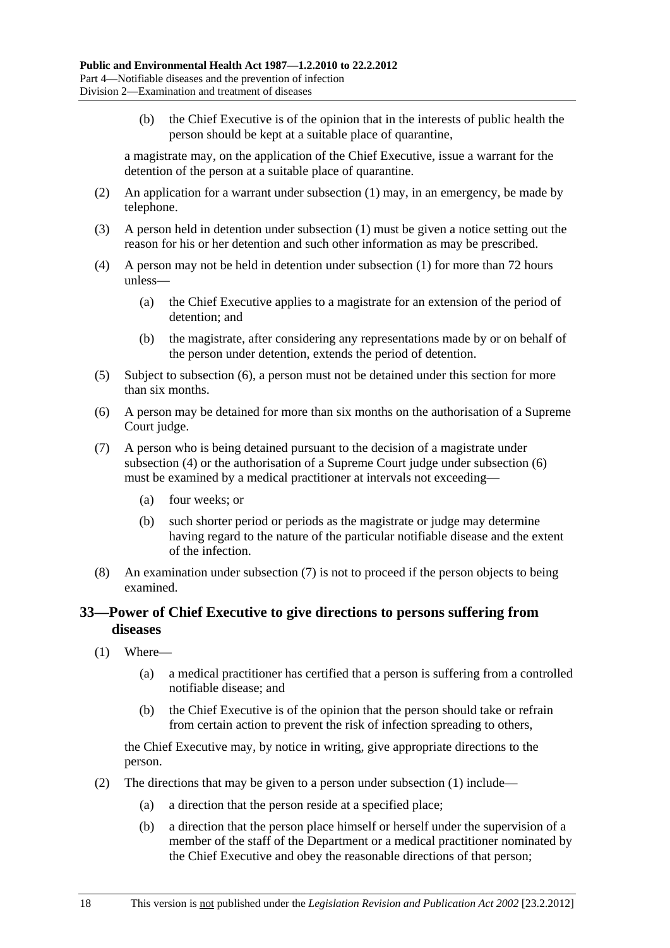<span id="page-17-0"></span> (b) the Chief Executive is of the opinion that in the interests of public health the person should be kept at a suitable place of quarantine,

a magistrate may, on the application of the Chief Executive, issue a warrant for the detention of the person at a suitable place of quarantine.

- (2) An application for a warrant under [subsection \(1\)](#page-16-0) may, in an emergency, be made by telephone.
- (3) A person held in detention under [subsection \(1\)](#page-16-0) must be given a notice setting out the reason for his or her detention and such other information as may be prescribed.
- (4) A person may not be held in detention under [subsection \(1\)](#page-16-0) for more than 72 hours unless—
	- (a) the Chief Executive applies to a magistrate for an extension of the period of detention; and
	- (b) the magistrate, after considering any representations made by or on behalf of the person under detention, extends the period of detention.
- (5) Subject to [subsection \(6\),](#page-17-0) a person must not be detained under this section for more than six months.
- (6) A person may be detained for more than six months on the authorisation of a Supreme Court judge.
- (7) A person who is being detained pursuant to the decision of a magistrate under [subsection \(4\)](#page-17-0) or the authorisation of a Supreme Court judge under [subsection \(6\)](#page-17-0) must be examined by a medical practitioner at intervals not exceeding—
	- (a) four weeks; or
	- (b) such shorter period or periods as the magistrate or judge may determine having regard to the nature of the particular notifiable disease and the extent of the infection.
- (8) An examination under [subsection \(7\)](#page-17-0) is not to proceed if the person objects to being examined.

### **33—Power of Chief Executive to give directions to persons suffering from diseases**

- (1) Where—
	- (a) a medical practitioner has certified that a person is suffering from a controlled notifiable disease; and
	- (b) the Chief Executive is of the opinion that the person should take or refrain from certain action to prevent the risk of infection spreading to others,

the Chief Executive may, by notice in writing, give appropriate directions to the person.

- (2) The directions that may be given to a person under [subsection \(1\)](#page-17-0) include—
	- (a) a direction that the person reside at a specified place;
	- (b) a direction that the person place himself or herself under the supervision of a member of the staff of the Department or a medical practitioner nominated by the Chief Executive and obey the reasonable directions of that person;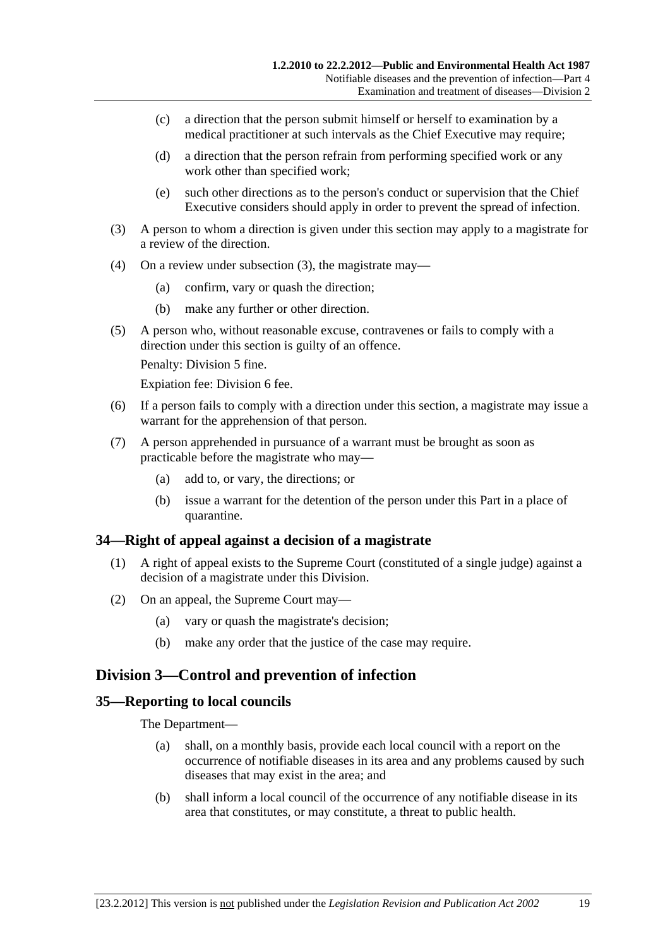- <span id="page-18-0"></span> (c) a direction that the person submit himself or herself to examination by a medical practitioner at such intervals as the Chief Executive may require;
- (d) a direction that the person refrain from performing specified work or any work other than specified work;
- (e) such other directions as to the person's conduct or supervision that the Chief Executive considers should apply in order to prevent the spread of infection.
- (3) A person to whom a direction is given under this section may apply to a magistrate for a review of the direction.
- (4) On a review under [subsection \(3\),](#page-18-0) the magistrate may—
	- (a) confirm, vary or quash the direction;
	- (b) make any further or other direction.
- (5) A person who, without reasonable excuse, contravenes or fails to comply with a direction under this section is guilty of an offence.

Penalty: Division 5 fine.

Expiation fee: Division 6 fee.

- (6) If a person fails to comply with a direction under this section, a magistrate may issue a warrant for the apprehension of that person.
- (7) A person apprehended in pursuance of a warrant must be brought as soon as practicable before the magistrate who may—
	- (a) add to, or vary, the directions; or
	- (b) issue a warrant for the detention of the person under this Part in a place of quarantine.

### **34—Right of appeal against a decision of a magistrate**

- (1) A right of appeal exists to the Supreme Court (constituted of a single judge) against a decision of a magistrate under this Division.
- (2) On an appeal, the Supreme Court may—
	- (a) vary or quash the magistrate's decision;
	- (b) make any order that the justice of the case may require.

### **Division 3—Control and prevention of infection**

#### **35—Reporting to local councils**

The Department—

- (a) shall, on a monthly basis, provide each local council with a report on the occurrence of notifiable diseases in its area and any problems caused by such diseases that may exist in the area; and
- (b) shall inform a local council of the occurrence of any notifiable disease in its area that constitutes, or may constitute, a threat to public health.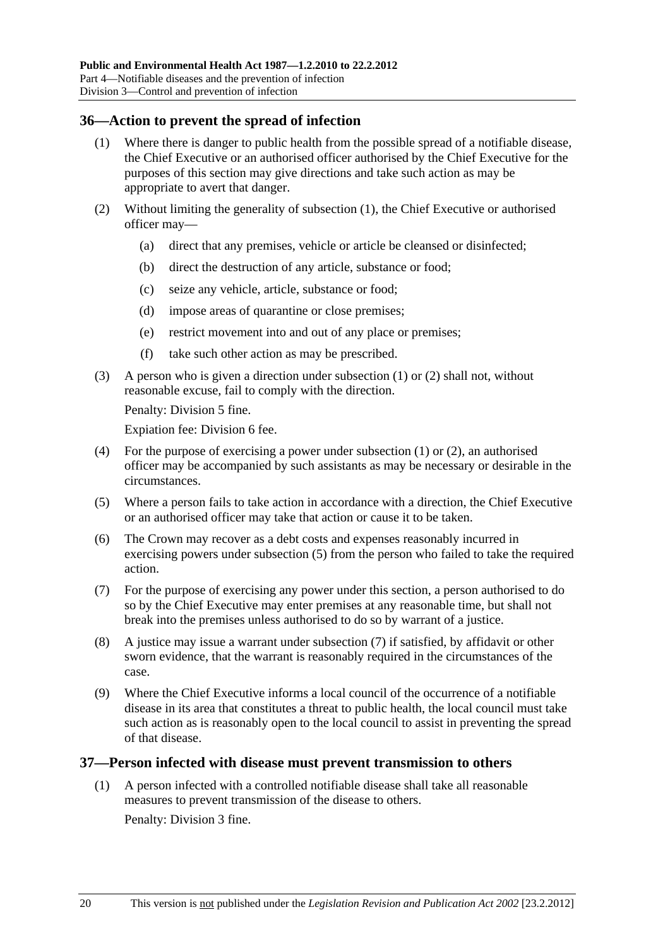#### <span id="page-19-0"></span>**36—Action to prevent the spread of infection**

- (1) Where there is danger to public health from the possible spread of a notifiable disease, the Chief Executive or an authorised officer authorised by the Chief Executive for the purposes of this section may give directions and take such action as may be appropriate to avert that danger.
- (2) Without limiting the generality of [subsection \(1\),](#page-19-0) the Chief Executive or authorised officer may—
	- (a) direct that any premises, vehicle or article be cleansed or disinfected;
	- (b) direct the destruction of any article, substance or food;
	- (c) seize any vehicle, article, substance or food;
	- (d) impose areas of quarantine or close premises;
	- (e) restrict movement into and out of any place or premises;
	- (f) take such other action as may be prescribed.
- (3) A person who is given a direction under [subsection \(1\)](#page-19-0) or [\(2\)](#page-19-0) shall not, without reasonable excuse, fail to comply with the direction.

Penalty: Division 5 fine.

Expiation fee: Division 6 fee.

- (4) For the purpose of exercising a power under [subsection \(1\)](#page-19-0) or [\(2\)](#page-19-0), an authorised officer may be accompanied by such assistants as may be necessary or desirable in the circumstances.
- (5) Where a person fails to take action in accordance with a direction, the Chief Executive or an authorised officer may take that action or cause it to be taken.
- (6) The Crown may recover as a debt costs and expenses reasonably incurred in exercising powers under [subsection \(5\)](#page-19-0) from the person who failed to take the required action.
- (7) For the purpose of exercising any power under this section, a person authorised to do so by the Chief Executive may enter premises at any reasonable time, but shall not break into the premises unless authorised to do so by warrant of a justice.
- (8) A justice may issue a warrant under [subsection \(7\)](#page-19-0) if satisfied, by affidavit or other sworn evidence, that the warrant is reasonably required in the circumstances of the case.
- (9) Where the Chief Executive informs a local council of the occurrence of a notifiable disease in its area that constitutes a threat to public health, the local council must take such action as is reasonably open to the local council to assist in preventing the spread of that disease.

#### **37—Person infected with disease must prevent transmission to others**

 (1) A person infected with a controlled notifiable disease shall take all reasonable measures to prevent transmission of the disease to others. Penalty: Division 3 fine.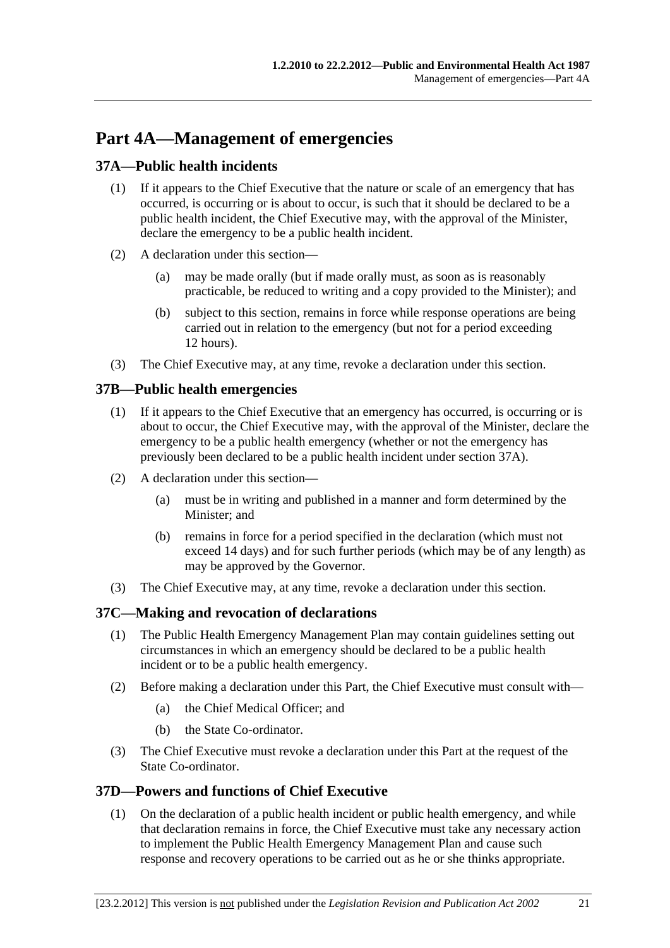# <span id="page-20-0"></span>**Part 4A—Management of emergencies**

## **37A—Public health incidents**

- (1) If it appears to the Chief Executive that the nature or scale of an emergency that has occurred, is occurring or is about to occur, is such that it should be declared to be a public health incident, the Chief Executive may, with the approval of the Minister, declare the emergency to be a public health incident.
- (2) A declaration under this section—
	- (a) may be made orally (but if made orally must, as soon as is reasonably practicable, be reduced to writing and a copy provided to the Minister); and
	- (b) subject to this section, remains in force while response operations are being carried out in relation to the emergency (but not for a period exceeding 12 hours).
- (3) The Chief Executive may, at any time, revoke a declaration under this section.

## **37B—Public health emergencies**

- (1) If it appears to the Chief Executive that an emergency has occurred, is occurring or is about to occur, the Chief Executive may, with the approval of the Minister, declare the emergency to be a public health emergency (whether or not the emergency has previously been declared to be a public health incident under [section 37A](#page-20-0)).
- (2) A declaration under this section—
	- (a) must be in writing and published in a manner and form determined by the Minister; and
	- (b) remains in force for a period specified in the declaration (which must not exceed 14 days) and for such further periods (which may be of any length) as may be approved by the Governor.
- (3) The Chief Executive may, at any time, revoke a declaration under this section.

## **37C—Making and revocation of declarations**

- (1) The Public Health Emergency Management Plan may contain guidelines setting out circumstances in which an emergency should be declared to be a public health incident or to be a public health emergency.
- (2) Before making a declaration under this Part, the Chief Executive must consult with—
	- (a) the Chief Medical Officer; and
	- (b) the State Co-ordinator.
- (3) The Chief Executive must revoke a declaration under this Part at the request of the State Co-ordinator.

### **37D—Powers and functions of Chief Executive**

 (1) On the declaration of a public health incident or public health emergency, and while that declaration remains in force, the Chief Executive must take any necessary action to implement the Public Health Emergency Management Plan and cause such response and recovery operations to be carried out as he or she thinks appropriate.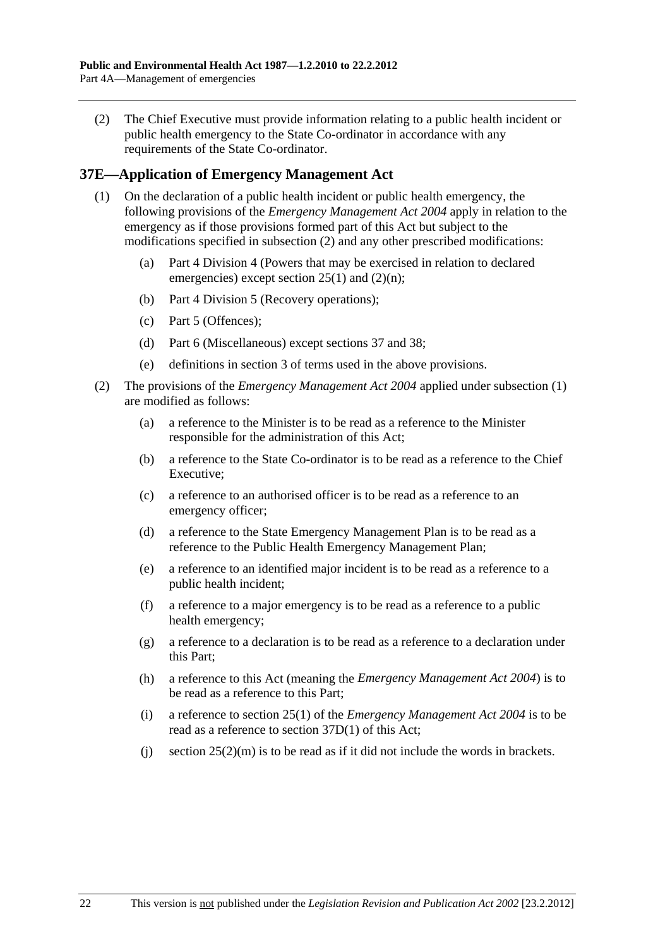<span id="page-21-0"></span> (2) The Chief Executive must provide information relating to a public health incident or public health emergency to the State Co-ordinator in accordance with any requirements of the State Co-ordinator.

#### **37E—Application of Emergency Management Act**

- (1) On the declaration of a public health incident or public health emergency, the following provisions of the *[Emergency Management Act 2004](http://www.legislation.sa.gov.au/index.aspx?action=legref&type=act&legtitle=Emergency%20Management%20Act%202004)* apply in relation to the emergency as if those provisions formed part of this Act but subject to the modifications specified in [subsection \(2\)](#page-21-0) and any other prescribed modifications:
	- (a) Part 4 Division 4 (Powers that may be exercised in relation to declared emergencies) except section  $25(1)$  and  $(2)(n)$ ;
	- (b) Part 4 Division 5 (Recovery operations);
	- (c) Part 5 (Offences);
	- (d) Part 6 (Miscellaneous) except sections 37 and 38;
	- (e) definitions in section 3 of terms used in the above provisions.
- (2) The provisions of the *[Emergency Management Act 2004](http://www.legislation.sa.gov.au/index.aspx?action=legref&type=act&legtitle=Emergency%20Management%20Act%202004)* applied under [subsection \(1\)](#page-21-0)  are modified as follows:
	- (a) a reference to the Minister is to be read as a reference to the Minister responsible for the administration of this Act;
	- (b) a reference to the State Co-ordinator is to be read as a reference to the Chief Executive;
	- (c) a reference to an authorised officer is to be read as a reference to an emergency officer;
	- (d) a reference to the State Emergency Management Plan is to be read as a reference to the Public Health Emergency Management Plan;
	- (e) a reference to an identified major incident is to be read as a reference to a public health incident;
	- (f) a reference to a major emergency is to be read as a reference to a public health emergency;
	- (g) a reference to a declaration is to be read as a reference to a declaration under this Part;
	- (h) a reference to this Act (meaning the *[Emergency Management Act 2004](http://www.legislation.sa.gov.au/index.aspx?action=legref&type=act&legtitle=Emergency%20Management%20Act%202004)*) is to be read as a reference to this Part;
	- (i) a reference to section 25(1) of the *[Emergency Management Act 2004](http://www.legislation.sa.gov.au/index.aspx?action=legref&type=act&legtitle=Emergency%20Management%20Act%202004)* is to be read as a reference to [section 37D\(1\)](#page-20-0) of this Act;
	- (i) section  $25(2)(m)$  is to be read as if it did not include the words in brackets.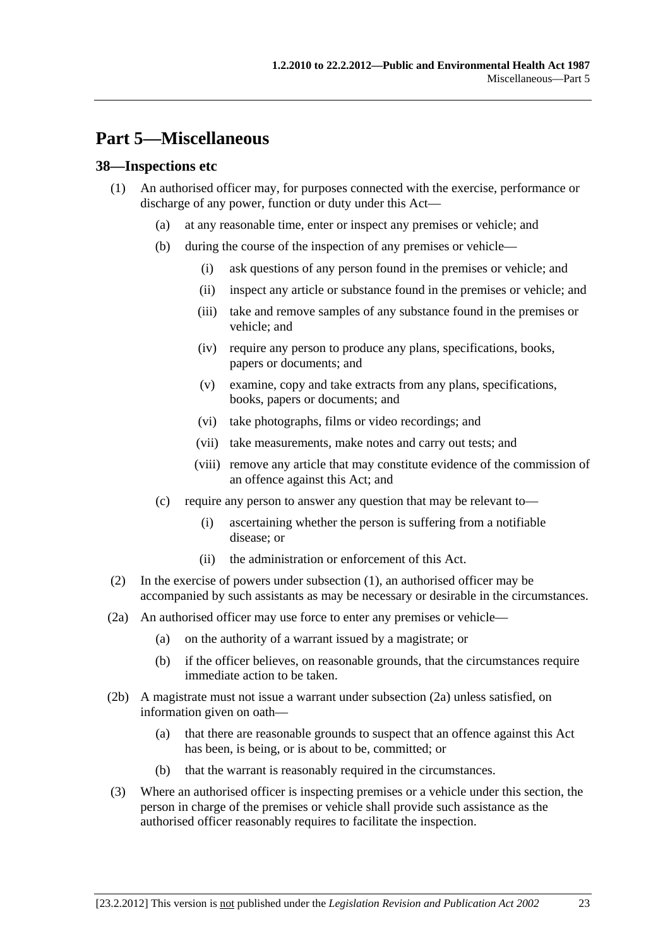# <span id="page-22-0"></span>**Part 5—Miscellaneous**

#### **38—Inspections etc**

- (1) An authorised officer may, for purposes connected with the exercise, performance or discharge of any power, function or duty under this Act—
	- (a) at any reasonable time, enter or inspect any premises or vehicle; and
	- (b) during the course of the inspection of any premises or vehicle—
		- (i) ask questions of any person found in the premises or vehicle; and
		- (ii) inspect any article or substance found in the premises or vehicle; and
		- (iii) take and remove samples of any substance found in the premises or vehicle; and
		- (iv) require any person to produce any plans, specifications, books, papers or documents; and
		- (v) examine, copy and take extracts from any plans, specifications, books, papers or documents; and
		- (vi) take photographs, films or video recordings; and
		- (vii) take measurements, make notes and carry out tests; and
		- (viii) remove any article that may constitute evidence of the commission of an offence against this Act; and
	- (c) require any person to answer any question that may be relevant to—
		- (i) ascertaining whether the person is suffering from a notifiable disease; or
		- (ii) the administration or enforcement of this Act.
- (2) In the exercise of powers under [subsection \(1\)](#page-22-0), an authorised officer may be accompanied by such assistants as may be necessary or desirable in the circumstances.
- (2a) An authorised officer may use force to enter any premises or vehicle—
	- (a) on the authority of a warrant issued by a magistrate; or
	- (b) if the officer believes, on reasonable grounds, that the circumstances require immediate action to be taken.
- (2b) A magistrate must not issue a warrant under [subsection \(2a\)](#page-22-0) unless satisfied, on information given on oath—
	- (a) that there are reasonable grounds to suspect that an offence against this Act has been, is being, or is about to be, committed; or
	- (b) that the warrant is reasonably required in the circumstances.
- (3) Where an authorised officer is inspecting premises or a vehicle under this section, the person in charge of the premises or vehicle shall provide such assistance as the authorised officer reasonably requires to facilitate the inspection.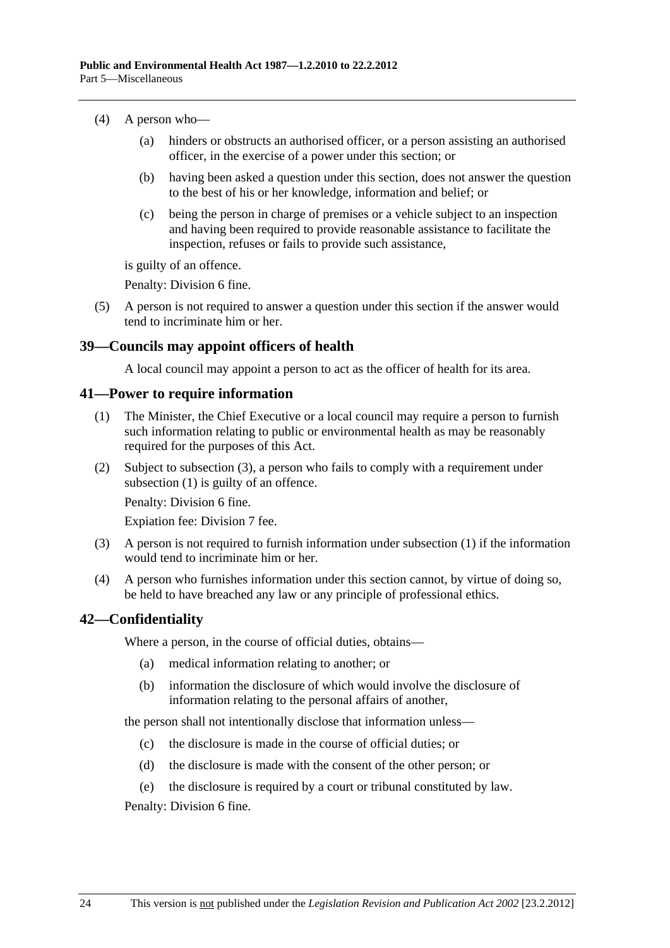- <span id="page-23-0"></span> (4) A person who—
	- (a) hinders or obstructs an authorised officer, or a person assisting an authorised officer, in the exercise of a power under this section; or
	- (b) having been asked a question under this section, does not answer the question to the best of his or her knowledge, information and belief; or
	- (c) being the person in charge of premises or a vehicle subject to an inspection and having been required to provide reasonable assistance to facilitate the inspection, refuses or fails to provide such assistance,

is guilty of an offence.

Penalty: Division 6 fine.

 (5) A person is not required to answer a question under this section if the answer would tend to incriminate him or her.

### **39—Councils may appoint officers of health**

A local council may appoint a person to act as the officer of health for its area.

#### **41—Power to require information**

- (1) The Minister, the Chief Executive or a local council may require a person to furnish such information relating to public or environmental health as may be reasonably required for the purposes of this Act.
- (2) Subject to [subsection \(3\),](#page-23-0) a person who fails to comply with a requirement under [subsection \(1\)](#page-23-0) is guilty of an offence.

Penalty: Division 6 fine.

Expiation fee: Division 7 fee.

- (3) A person is not required to furnish information under [subsection \(1\)](#page-23-0) if the information would tend to incriminate him or her.
- (4) A person who furnishes information under this section cannot, by virtue of doing so, be held to have breached any law or any principle of professional ethics.

### **42—Confidentiality**

Where a person, in the course of official duties, obtains—

- (a) medical information relating to another; or
- (b) information the disclosure of which would involve the disclosure of information relating to the personal affairs of another,

the person shall not intentionally disclose that information unless—

- (c) the disclosure is made in the course of official duties; or
- (d) the disclosure is made with the consent of the other person; or
- (e) the disclosure is required by a court or tribunal constituted by law.

Penalty: Division 6 fine.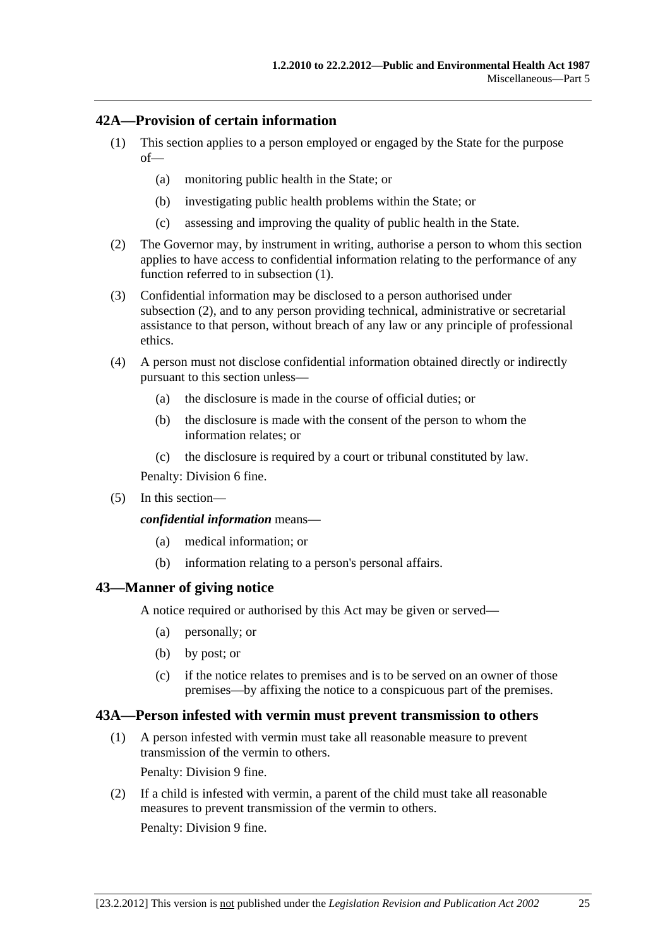### <span id="page-24-0"></span>**42A—Provision of certain information**

- (1) This section applies to a person employed or engaged by the State for the purpose of—
	- (a) monitoring public health in the State; or
	- (b) investigating public health problems within the State; or
	- (c) assessing and improving the quality of public health in the State.
- (2) The Governor may, by instrument in writing, authorise a person to whom this section applies to have access to confidential information relating to the performance of any function referred to in [subsection \(1\).](#page-24-0)
- (3) Confidential information may be disclosed to a person authorised under [subsection \(2\),](#page-24-0) and to any person providing technical, administrative or secretarial assistance to that person, without breach of any law or any principle of professional ethics.
- (4) A person must not disclose confidential information obtained directly or indirectly pursuant to this section unless—
	- (a) the disclosure is made in the course of official duties; or
	- (b) the disclosure is made with the consent of the person to whom the information relates; or
	- (c) the disclosure is required by a court or tribunal constituted by law.

Penalty: Division 6 fine.

(5) In this section—

*confidential information* means—

- (a) medical information; or
- (b) information relating to a person's personal affairs.

#### **43—Manner of giving notice**

A notice required or authorised by this Act may be given or served—

- (a) personally; or
- (b) by post; or
- (c) if the notice relates to premises and is to be served on an owner of those premises—by affixing the notice to a conspicuous part of the premises.

#### **43A—Person infested with vermin must prevent transmission to others**

- (1) A person infested with vermin must take all reasonable measure to prevent transmission of the vermin to others. Penalty: Division 9 fine.
- (2) If a child is infested with vermin, a parent of the child must take all reasonable measures to prevent transmission of the vermin to others. Penalty: Division 9 fine.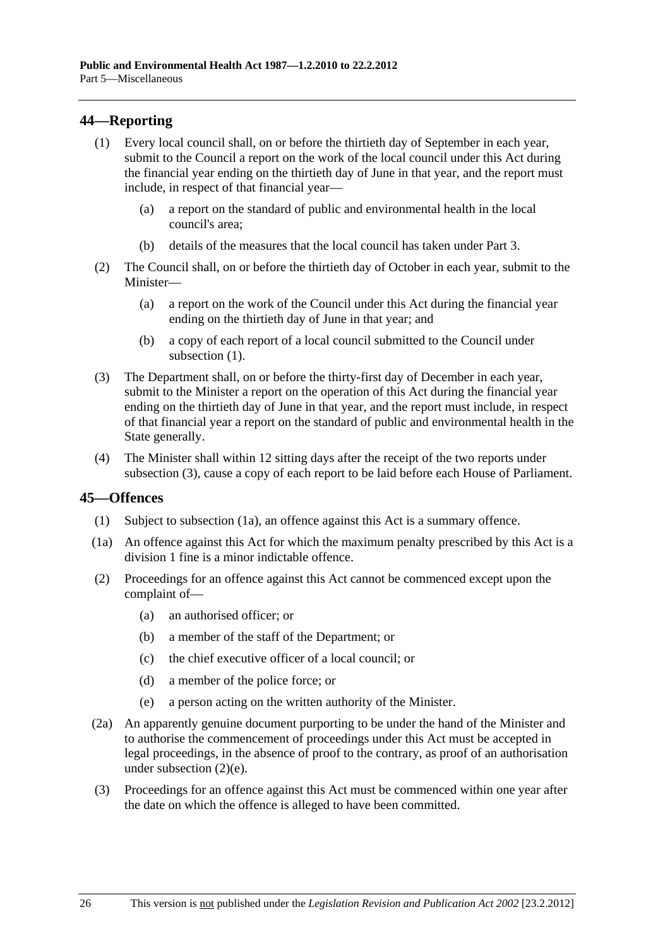### <span id="page-25-0"></span>**44—Reporting**

- (1) Every local council shall, on or before the thirtieth day of September in each year, submit to the Council a report on the work of the local council under this Act during the financial year ending on the thirtieth day of June in that year, and the report must include, in respect of that financial year—
	- (a) a report on the standard of public and environmental health in the local council's area;
	- (b) details of the measures that the local council has taken under [Part 3](#page-10-0).
- (2) The Council shall, on or before the thirtieth day of October in each year, submit to the Minister—
	- (a) a report on the work of the Council under this Act during the financial year ending on the thirtieth day of June in that year; and
	- (b) a copy of each report of a local council submitted to the Council under subsection  $(1)$ .
- (3) The Department shall, on or before the thirty-first day of December in each year, submit to the Minister a report on the operation of this Act during the financial year ending on the thirtieth day of June in that year, and the report must include, in respect of that financial year a report on the standard of public and environmental health in the State generally.
- (4) The Minister shall within 12 sitting days after the receipt of the two reports under [subsection \(3\)](#page-25-0), cause a copy of each report to be laid before each House of Parliament.

### **45—Offences**

- (1) Subject to [subsection \(1a\),](#page-25-0) an offence against this Act is a summary offence.
- (1a) An offence against this Act for which the maximum penalty prescribed by this Act is a division 1 fine is a minor indictable offence.
- (2) Proceedings for an offence against this Act cannot be commenced except upon the complaint of—
	- (a) an authorised officer; or
	- (b) a member of the staff of the Department; or
	- (c) the chief executive officer of a local council; or
	- (d) a member of the police force; or
	- (e) a person acting on the written authority of the Minister.
- (2a) An apparently genuine document purporting to be under the hand of the Minister and to authorise the commencement of proceedings under this Act must be accepted in legal proceedings, in the absence of proof to the contrary, as proof of an authorisation under [subsection \(2\)\(e\)](#page-25-0).
- (3) Proceedings for an offence against this Act must be commenced within one year after the date on which the offence is alleged to have been committed.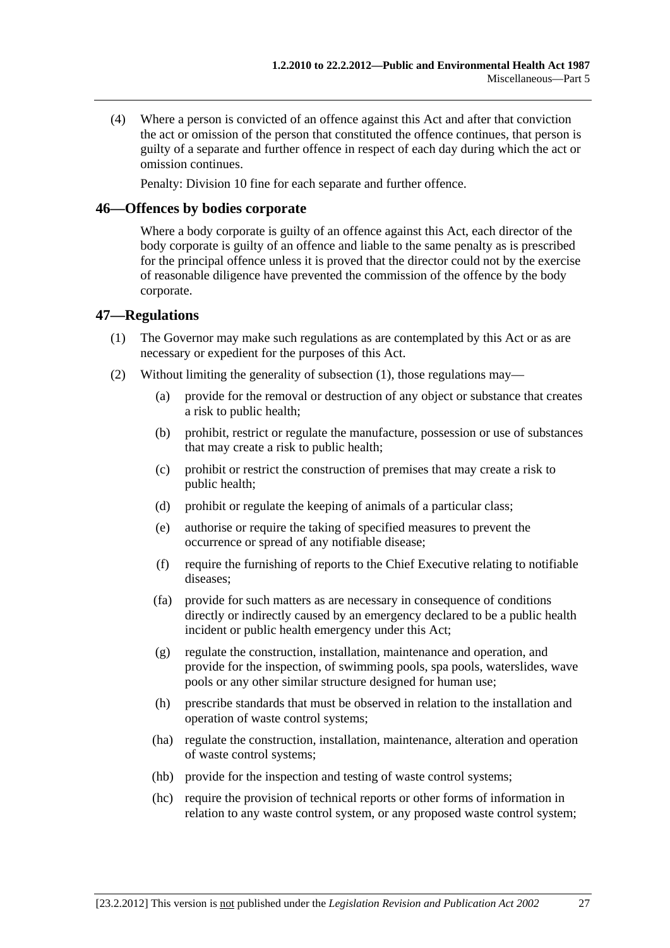<span id="page-26-0"></span> (4) Where a person is convicted of an offence against this Act and after that conviction the act or omission of the person that constituted the offence continues, that person is guilty of a separate and further offence in respect of each day during which the act or omission continues.

Penalty: Division 10 fine for each separate and further offence.

#### **46—Offences by bodies corporate**

Where a body corporate is guilty of an offence against this Act, each director of the body corporate is guilty of an offence and liable to the same penalty as is prescribed for the principal offence unless it is proved that the director could not by the exercise of reasonable diligence have prevented the commission of the offence by the body corporate.

#### **47—Regulations**

- (1) The Governor may make such regulations as are contemplated by this Act or as are necessary or expedient for the purposes of this Act.
- (2) Without limiting the generality of [subsection \(1\),](#page-26-0) those regulations may—
	- (a) provide for the removal or destruction of any object or substance that creates a risk to public health;
	- (b) prohibit, restrict or regulate the manufacture, possession or use of substances that may create a risk to public health;
	- (c) prohibit or restrict the construction of premises that may create a risk to public health;
	- (d) prohibit or regulate the keeping of animals of a particular class;
	- (e) authorise or require the taking of specified measures to prevent the occurrence or spread of any notifiable disease;
	- (f) require the furnishing of reports to the Chief Executive relating to notifiable diseases;
	- (fa) provide for such matters as are necessary in consequence of conditions directly or indirectly caused by an emergency declared to be a public health incident or public health emergency under this Act;
	- (g) regulate the construction, installation, maintenance and operation, and provide for the inspection, of swimming pools, spa pools, waterslides, wave pools or any other similar structure designed for human use;
	- (h) prescribe standards that must be observed in relation to the installation and operation of waste control systems;
	- (ha) regulate the construction, installation, maintenance, alteration and operation of waste control systems;
	- (hb) provide for the inspection and testing of waste control systems;
	- (hc) require the provision of technical reports or other forms of information in relation to any waste control system, or any proposed waste control system;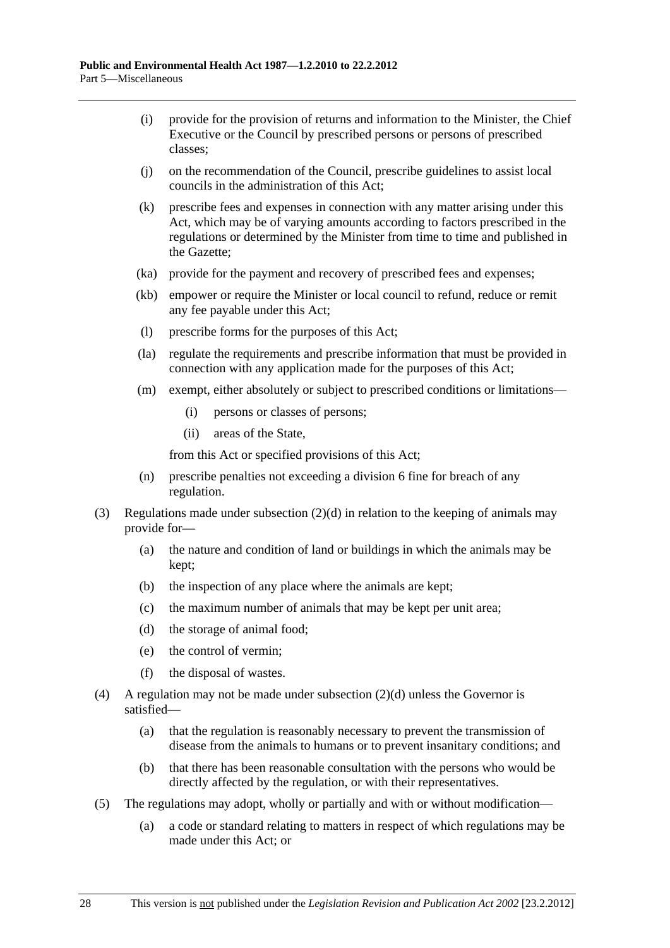- (i) provide for the provision of returns and information to the Minister, the Chief Executive or the Council by prescribed persons or persons of prescribed classes;
- (j) on the recommendation of the Council, prescribe guidelines to assist local councils in the administration of this Act;
- (k) prescribe fees and expenses in connection with any matter arising under this Act, which may be of varying amounts according to factors prescribed in the regulations or determined by the Minister from time to time and published in the Gazette;
- (ka) provide for the payment and recovery of prescribed fees and expenses;
- (kb) empower or require the Minister or local council to refund, reduce or remit any fee payable under this Act;
- (l) prescribe forms for the purposes of this Act;
- (la) regulate the requirements and prescribe information that must be provided in connection with any application made for the purposes of this Act;
- (m) exempt, either absolutely or subject to prescribed conditions or limitations—
	- (i) persons or classes of persons;
	- (ii) areas of the State,

from this Act or specified provisions of this Act;

- (n) prescribe penalties not exceeding a division 6 fine for breach of any regulation.
- (3) Regulations made under [subsection \(2\)\(d\)](#page-26-0) in relation to the keeping of animals may provide for—
	- (a) the nature and condition of land or buildings in which the animals may be kept;
	- (b) the inspection of any place where the animals are kept;
	- (c) the maximum number of animals that may be kept per unit area;
	- (d) the storage of animal food;
	- (e) the control of vermin;
	- (f) the disposal of wastes.
- (4) A regulation may not be made under [subsection \(2\)\(d\)](#page-26-0) unless the Governor is satisfied—
	- (a) that the regulation is reasonably necessary to prevent the transmission of disease from the animals to humans or to prevent insanitary conditions; and
	- (b) that there has been reasonable consultation with the persons who would be directly affected by the regulation, or with their representatives.
- (5) The regulations may adopt, wholly or partially and with or without modification—
	- (a) a code or standard relating to matters in respect of which regulations may be made under this Act; or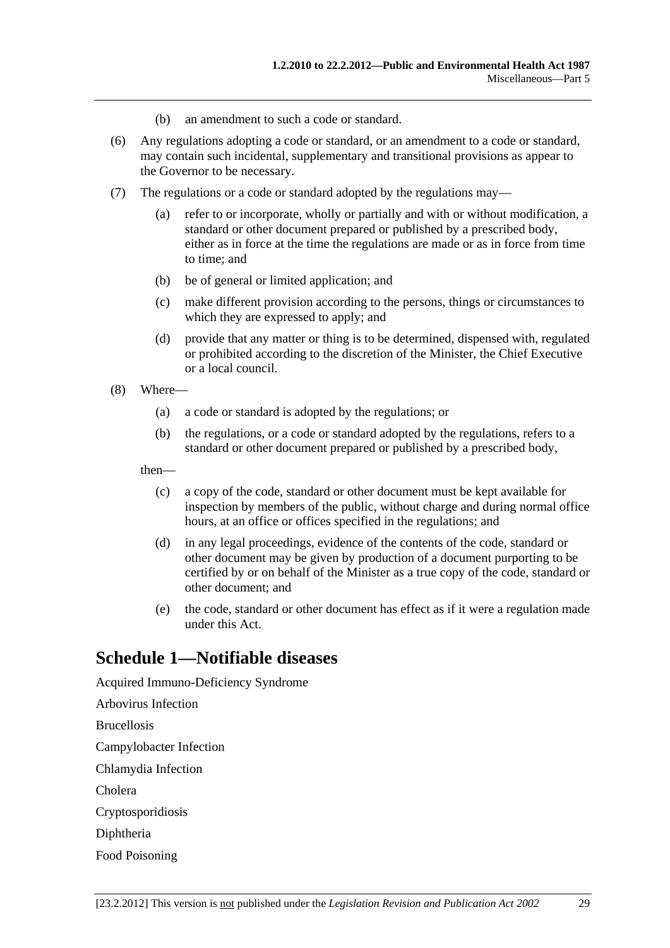- (b) an amendment to such a code or standard.
- <span id="page-28-0"></span> (6) Any regulations adopting a code or standard, or an amendment to a code or standard, may contain such incidental, supplementary and transitional provisions as appear to the Governor to be necessary.
- (7) The regulations or a code or standard adopted by the regulations may—
	- (a) refer to or incorporate, wholly or partially and with or without modification, a standard or other document prepared or published by a prescribed body, either as in force at the time the regulations are made or as in force from time to time; and
	- (b) be of general or limited application; and
	- (c) make different provision according to the persons, things or circumstances to which they are expressed to apply; and
	- (d) provide that any matter or thing is to be determined, dispensed with, regulated or prohibited according to the discretion of the Minister, the Chief Executive or a local council.
- (8) Where—
	- (a) a code or standard is adopted by the regulations; or
	- (b) the regulations, or a code or standard adopted by the regulations, refers to a standard or other document prepared or published by a prescribed body,

then—

- (c) a copy of the code, standard or other document must be kept available for inspection by members of the public, without charge and during normal office hours, at an office or offices specified in the regulations; and
- (d) in any legal proceedings, evidence of the contents of the code, standard or other document may be given by production of a document purporting to be certified by or on behalf of the Minister as a true copy of the code, standard or other document; and
- (e) the code, standard or other document has effect as if it were a regulation made under this Act.

# **Schedule 1—Notifiable diseases**

Acquired Immuno-Deficiency Syndrome

Arbovirus Infection

Brucellosis

Campylobacter Infection

Chlamydia Infection

Cholera

Cryptosporidiosis

Diphtheria

Food Poisoning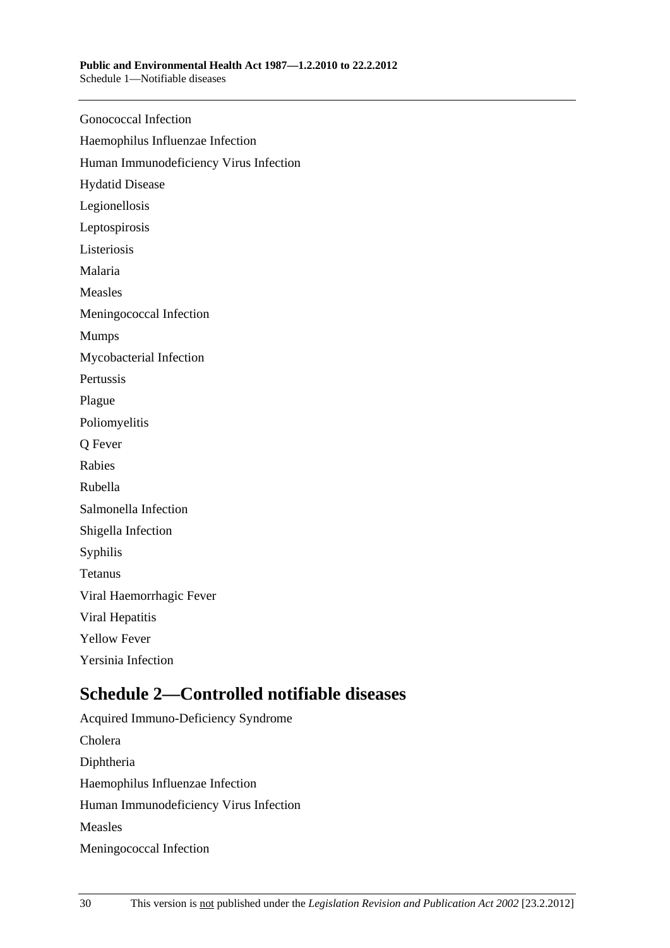<span id="page-29-0"></span>

| <b>Gonococcal Infection</b>            |
|----------------------------------------|
| Haemophilus Influenzae Infection       |
| Human Immunodeficiency Virus Infection |
| <b>Hydatid Disease</b>                 |
| Legionellosis                          |
| Leptospirosis                          |
| Listeriosis                            |
| Malaria                                |
| Measles                                |
| Meningococcal Infection                |
| <b>Mumps</b>                           |
| Mycobacterial Infection                |
| Pertussis                              |
| Plague                                 |
| Poliomyelitis                          |
| Q Fever                                |
| Rabies                                 |
| Rubella                                |
| Salmonella Infection                   |
| Shigella Infection                     |
| Syphilis                               |
| Tetanus                                |
| Viral Haemorrhagic Fever               |
| Viral Hepatitis                        |
| <b>Yellow Fever</b>                    |
| Yersinia Infection                     |
|                                        |

# **Schedule 2—Controlled notifiable diseases**

Acquired Immuno-Deficiency Syndrome Cholera Diphtheria Haemophilus Influenzae Infection Human Immunodeficiency Virus Infection Measles Meningococcal Infection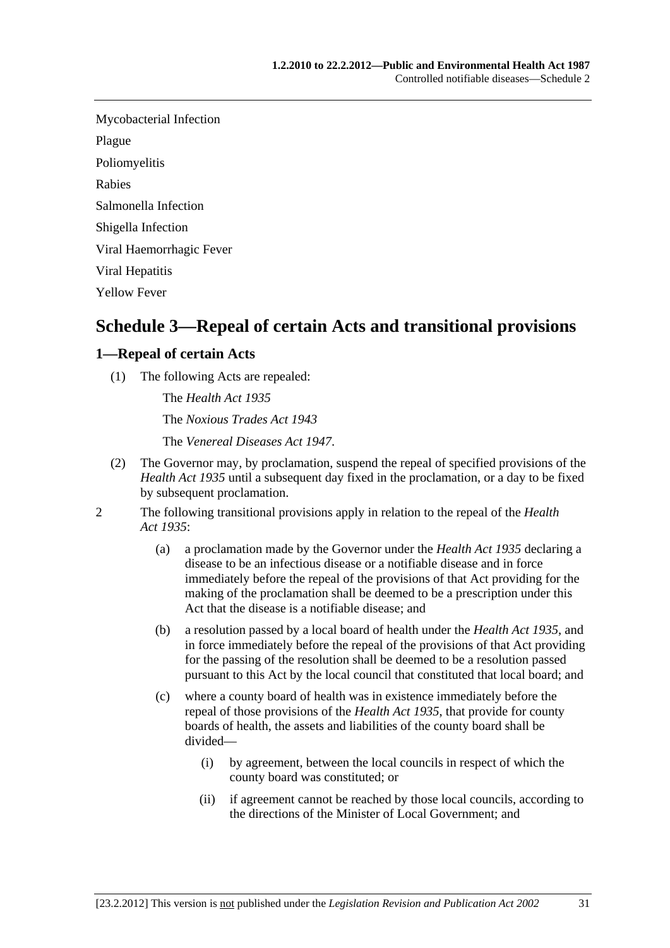<span id="page-30-0"></span>Mycobacterial Infection

Plague

Poliomyelitis

Rabies

Salmonella Infection

Shigella Infection

Viral Haemorrhagic Fever

Viral Hepatitis

Yellow Fever

# **Schedule 3—Repeal of certain Acts and transitional provisions**

### **1—Repeal of certain Acts**

(1) The following Acts are repealed:

The *[Health Act 1935](http://www.legislation.sa.gov.au/index.aspx?action=legref&type=act&legtitle=Health%20Act%201935)* The *[Noxious Trades Act 1943](http://www.legislation.sa.gov.au/index.aspx?action=legref&type=act&legtitle=Noxious%20Trades%20Act%201943)*

The *[Venereal Diseases Act 1947](http://www.legislation.sa.gov.au/index.aspx?action=legref&type=act&legtitle=Venereal%20Diseases%20Act%201947)*.

- (2) The Governor may, by proclamation, suspend the repeal of specified provisions of the *[Health Act 1935](http://www.legislation.sa.gov.au/index.aspx?action=legref&type=act&legtitle=Health%20Act%201935)* until a subsequent day fixed in the proclamation, or a day to be fixed by subsequent proclamation.
- 2 The following transitional provisions apply in relation to the repeal of the *[Health](http://www.legislation.sa.gov.au/index.aspx?action=legref&type=act&legtitle=Health%20Act%201935)  [Act 1935](http://www.legislation.sa.gov.au/index.aspx?action=legref&type=act&legtitle=Health%20Act%201935)*:
	- (a) a proclamation made by the Governor under the *[Health Act 1935](http://www.legislation.sa.gov.au/index.aspx?action=legref&type=act&legtitle=Health%20Act%201935)* declaring a disease to be an infectious disease or a notifiable disease and in force immediately before the repeal of the provisions of that Act providing for the making of the proclamation shall be deemed to be a prescription under this Act that the disease is a notifiable disease; and
	- (b) a resolution passed by a local board of health under the *[Health Act 1935](http://www.legislation.sa.gov.au/index.aspx?action=legref&type=act&legtitle=Health%20Act%201935)*, and in force immediately before the repeal of the provisions of that Act providing for the passing of the resolution shall be deemed to be a resolution passed pursuant to this Act by the local council that constituted that local board; and
	- (c) where a county board of health was in existence immediately before the repeal of those provisions of the *[Health Act 1935](http://www.legislation.sa.gov.au/index.aspx?action=legref&type=act&legtitle=Health%20Act%201935)*, that provide for county boards of health, the assets and liabilities of the county board shall be divided—
		- (i) by agreement, between the local councils in respect of which the county board was constituted; or
		- (ii) if agreement cannot be reached by those local councils, according to the directions of the Minister of Local Government; and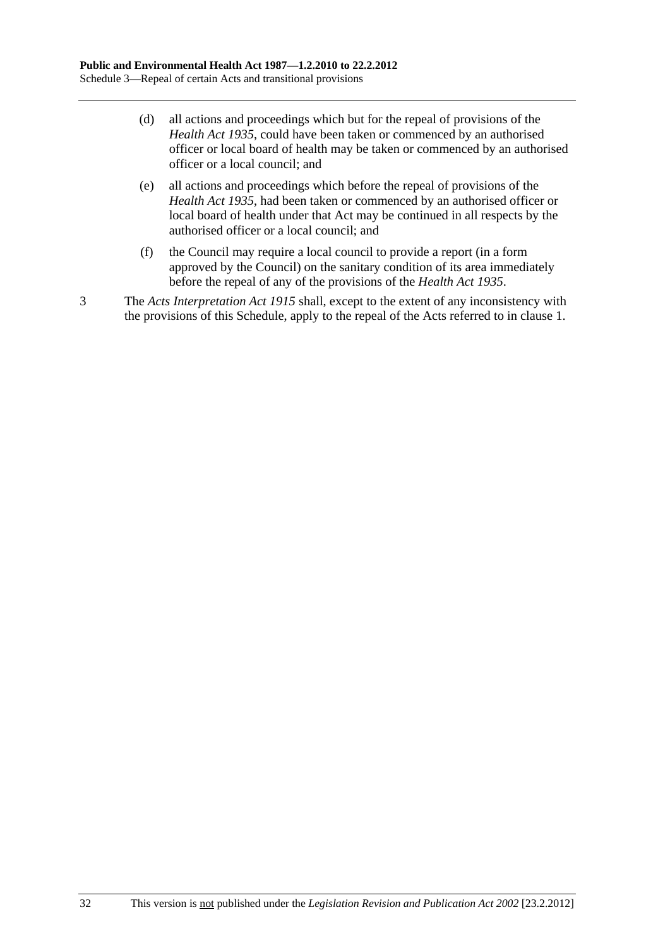- (d) all actions and proceedings which but for the repeal of provisions of the *[Health Act 1935](http://www.legislation.sa.gov.au/index.aspx?action=legref&type=act&legtitle=Health%20Act%201935)*, could have been taken or commenced by an authorised officer or local board of health may be taken or commenced by an authorised officer or a local council; and
- (e) all actions and proceedings which before the repeal of provisions of the *[Health Act 1935](http://www.legislation.sa.gov.au/index.aspx?action=legref&type=act&legtitle=Health%20Act%201935)*, had been taken or commenced by an authorised officer or local board of health under that Act may be continued in all respects by the authorised officer or a local council; and
- (f) the Council may require a local council to provide a report (in a form approved by the Council) on the sanitary condition of its area immediately before the repeal of any of the provisions of the *[Health Act 1935](http://www.legislation.sa.gov.au/index.aspx?action=legref&type=act&legtitle=Health%20Act%201935)*.

3 The *[Acts Interpretation Act 1915](http://www.legislation.sa.gov.au/index.aspx?action=legref&type=act&legtitle=Acts%20Interpretation%20Act%201915)* shall, except to the extent of any inconsistency with the provisions of this Schedule, apply to the repeal of the Acts referred to in [clause 1.](#page-30-0)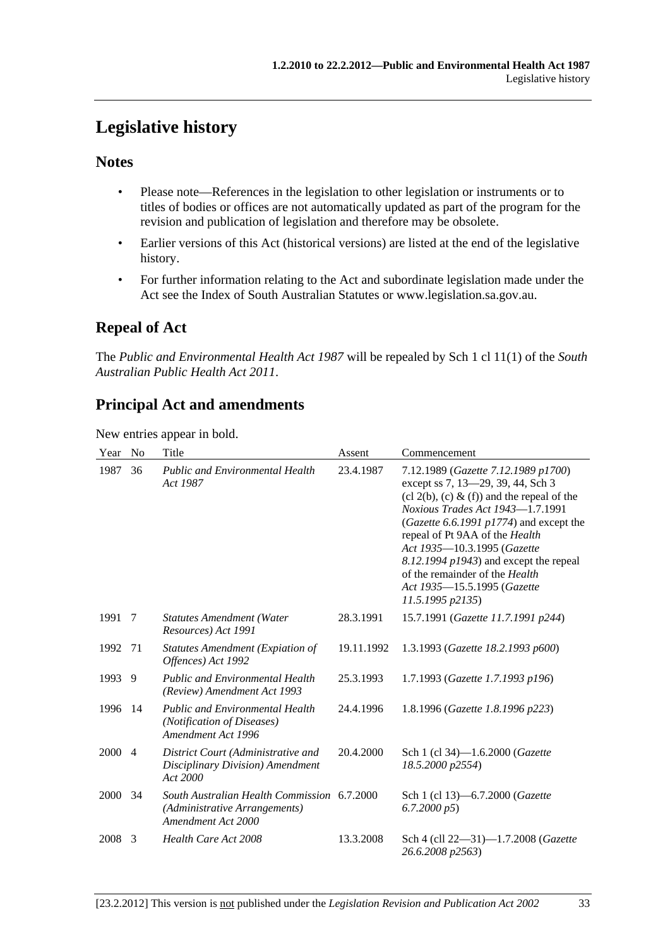# <span id="page-32-0"></span>**Legislative history**

## **Notes**

- Please note—References in the legislation to other legislation or instruments or to titles of bodies or offices are not automatically updated as part of the program for the revision and publication of legislation and therefore may be obsolete.
- Earlier versions of this Act (historical versions) are listed at the end of the legislative history.
- For further information relating to the Act and subordinate legislation made under the Act see the Index of South Australian Statutes or www.legislation.sa.gov.au.

# **Repeal of Act**

The *Public and Environmental Health Act 1987* will be repealed by Sch 1 cl 11(1) of the *South Australian Public Health Act 2011*.

# **Principal Act and amendments**

New entries appear in bold.

| Year | No             | Title                                                                                              | Assent     | Commencement                                                                                                                                                                                                                                                                                                                                                                                                  |
|------|----------------|----------------------------------------------------------------------------------------------------|------------|---------------------------------------------------------------------------------------------------------------------------------------------------------------------------------------------------------------------------------------------------------------------------------------------------------------------------------------------------------------------------------------------------------------|
| 1987 | 36             | <b>Public and Environmental Health</b><br>Act 1987                                                 | 23.4.1987  | 7.12.1989 (Gazette 7.12.1989 p1700)<br>except ss 7, 13-29, 39, 44, Sch 3<br>$(cl 2(b), (c) \& (f))$ and the repeal of the<br>Noxious Trades Act 1943-1.7.1991<br>(Gazette 6.6.1991 p1774) and except the<br>repeal of Pt 9AA of the Health<br>Act 1935-10.3.1995 (Gazette<br>$8.12.1994$ $p1943$ ) and except the repeal<br>of the remainder of the Health<br>Act 1935-15.5.1995 (Gazette<br>11.5.1995 p2135) |
| 1991 | -7             | <b>Statutes Amendment (Water</b><br>Resources) Act 1991                                            | 28.3.1991  | 15.7.1991 (Gazette 11.7.1991 p244)                                                                                                                                                                                                                                                                                                                                                                            |
| 1992 | - 71           | Statutes Amendment (Expiation of<br>Offences) Act 1992                                             | 19.11.1992 | 1.3.1993 (Gazette 18.2.1993 p600)                                                                                                                                                                                                                                                                                                                                                                             |
| 1993 | -9             | <b>Public and Environmental Health</b><br>(Review) Amendment Act 1993                              | 25.3.1993  | 1.7.1993 (Gazette 1.7.1993 p196)                                                                                                                                                                                                                                                                                                                                                                              |
| 1996 | -14            | <b>Public and Environmental Health</b><br>(Notification of Diseases)<br>Amendment Act 1996         | 24.4.1996  | 1.8.1996 (Gazette 1.8.1996 p223)                                                                                                                                                                                                                                                                                                                                                                              |
| 2000 | $\overline{4}$ | District Court (Administrative and<br>Disciplinary Division) Amendment<br>Act 2000                 | 20.4.2000  | Sch 1 (cl 34)-1.6.2000 (Gazette<br>18.5.2000 p2554)                                                                                                                                                                                                                                                                                                                                                           |
| 2000 | 34             | South Australian Health Commission 6.7.2000<br>(Administrative Arrangements)<br>Amendment Act 2000 |            | Sch 1 (cl 13)-6.7.2000 (Gazette<br>6.7.2000 p5                                                                                                                                                                                                                                                                                                                                                                |
| 2008 | 3              | Health Care Act 2008                                                                               | 13.3.2008  | Sch 4 (cll 22-31)-1.7.2008 (Gazette<br>26.6.2008 p2563)                                                                                                                                                                                                                                                                                                                                                       |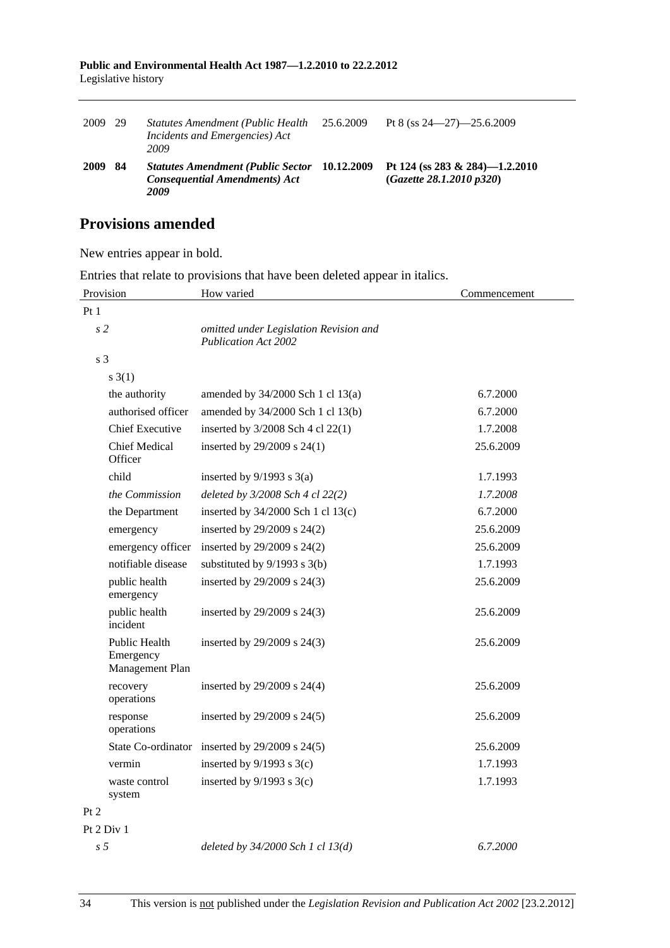| Public and Environmental Health Act 1987—1.2.2010 to 22.2.2012 |  |
|----------------------------------------------------------------|--|
| Legislative history                                            |  |

| 2009 | -29 | Statutes Amendment (Public Health)<br>Incidents and Emergencies) Act<br>2009             | 25.6.2009  | Pt 8 (ss $24 - 27$ ) $-25.6.2009$                           |
|------|-----|------------------------------------------------------------------------------------------|------------|-------------------------------------------------------------|
| 2009 | 84  | <b>Statutes Amendment (Public Sector</b><br><b>Consequential Amendments) Act</b><br>2009 | 10.12.2009 | Pt 124 (ss 283 & 284)-1.2.2010<br>(Gaz,ette 28.1.2010 p320) |

# **Provisions amended**

New entries appear in bold.

Entries that relate to provisions that have been deleted appear in italics.

| Provision                                     | How varied                                                            | Commencement |
|-----------------------------------------------|-----------------------------------------------------------------------|--------------|
| Pt <sub>1</sub>                               |                                                                       |              |
| s <sub>2</sub>                                | omitted under Legislation Revision and<br><b>Publication Act 2002</b> |              |
| s <sub>3</sub>                                |                                                                       |              |
| $s \; 3(1)$                                   |                                                                       |              |
| the authority                                 | amended by 34/2000 Sch 1 cl 13(a)                                     | 6.7.2000     |
| authorised officer                            | amended by 34/2000 Sch 1 cl 13(b)                                     | 6.7.2000     |
| <b>Chief Executive</b>                        | inserted by $3/2008$ Sch 4 cl 22(1)                                   | 1.7.2008     |
| <b>Chief Medical</b><br>Officer               | inserted by 29/2009 s 24(1)                                           | 25.6.2009    |
| child                                         | inserted by $9/1993$ s $3(a)$                                         | 1.7.1993     |
| the Commission                                | deleted by 3/2008 Sch 4 cl 22(2)                                      | 1.7.2008     |
| the Department                                | inserted by $34/2000$ Sch 1 cl $13(c)$                                | 6.7.2000     |
| emergency                                     | inserted by 29/2009 s 24(2)                                           | 25.6.2009    |
| emergency officer                             | inserted by 29/2009 s 24(2)                                           | 25.6.2009    |
| notifiable disease                            | substituted by 9/1993 s 3(b)                                          | 1.7.1993     |
| public health<br>emergency                    | inserted by 29/2009 s 24(3)                                           | 25.6.2009    |
| public health<br>incident                     | inserted by 29/2009 s 24(3)                                           | 25.6.2009    |
| Public Health<br>Emergency<br>Management Plan | inserted by 29/2009 s 24(3)                                           | 25.6.2009    |
| recovery<br>operations                        | inserted by 29/2009 s 24(4)                                           | 25.6.2009    |
| response<br>operations                        | inserted by $29/2009$ s $24(5)$                                       | 25.6.2009    |
|                                               | State Co-ordinator inserted by 29/2009 s 24(5)                        | 25.6.2009    |
| vermin                                        | inserted by $9/1993$ s $3(c)$                                         | 1.7.1993     |
| waste control<br>system                       | inserted by $9/1993$ s $3(c)$                                         | 1.7.1993     |
| Pt 2                                          |                                                                       |              |
| Pt 2 Div 1                                    |                                                                       |              |
| s <sub>5</sub>                                | deleted by $34/2000$ Sch 1 cl $13(d)$                                 | 6.7.2000     |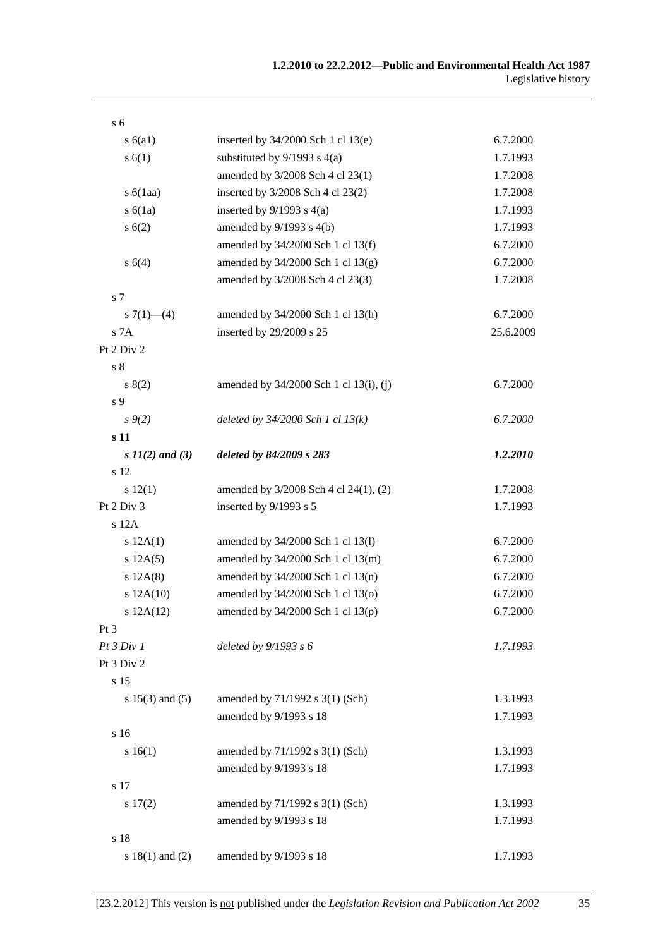| s <sub>6</sub>      |                                        |           |
|---------------------|----------------------------------------|-----------|
| s(6a1)              | inserted by 34/2000 Sch 1 cl 13(e)     | 6.7.2000  |
| s(6(1))             | substituted by $9/1993$ s $4(a)$       | 1.7.1993  |
|                     | amended by 3/2008 Sch 4 cl 23(1)       | 1.7.2008  |
| $s\ 6(1aa)$         | inserted by 3/2008 Sch 4 cl 23(2)      | 1.7.2008  |
| s(6(1a))            | inserted by $9/1993$ s $4(a)$          | 1.7.1993  |
| s(6(2))             | amended by $9/1993$ s $4(b)$           | 1.7.1993  |
|                     | amended by 34/2000 Sch 1 cl 13(f)      | 6.7.2000  |
| s 6(4)              | amended by $34/2000$ Sch 1 cl $13(g)$  | 6.7.2000  |
|                     | amended by 3/2008 Sch 4 cl 23(3)       | 1.7.2008  |
| s <sub>7</sub>      |                                        |           |
| s $7(1)$ — $(4)$    | amended by 34/2000 Sch 1 cl 13(h)      | 6.7.2000  |
| S <sub>7A</sub>     | inserted by 29/2009 s 25               | 25.6.2009 |
| Pt 2 Div 2          |                                        |           |
| $\sqrt{s}$ 8        |                                        |           |
| 8(2)                | amended by 34/2000 Sch 1 cl 13(i), (j) | 6.7.2000  |
| s 9                 |                                        |           |
| $s \, 9(2)$         | deleted by $34/2000$ Sch 1 cl $13(k)$  | 6.7.2000  |
| s 11                |                                        |           |
| s $11(2)$ and (3)   | deleted by 84/2009 s 283               | 1.2.2010  |
| s 12                |                                        |           |
| s 12(1)             | amended by 3/2008 Sch 4 cl 24(1), (2)  | 1.7.2008  |
| Pt 2 Div 3          | inserted by 9/1993 s 5                 | 1.7.1993  |
| s 12A               |                                        |           |
| s 12A(1)            | amended by 34/2000 Sch 1 cl 13(l)      | 6.7.2000  |
| s 12A(5)            | amended by 34/2000 Sch 1 cl 13(m)      | 6.7.2000  |
| s 12A(8)            | amended by 34/2000 Sch 1 cl 13(n)      | 6.7.2000  |
| s 12A(10)           | amended by 34/2000 Sch 1 cl 13(o)      | 6.7.2000  |
| s 12A(12)           | amended by 34/2000 Sch 1 cl 13(p)      | 6.7.2000  |
| Pt <sub>3</sub>     |                                        |           |
| Pt 3 Div 1          | deleted by $9/1993 s 6$                | 1.7.1993  |
| Pt 3 Div 2          |                                        |           |
| s 15                |                                        |           |
| s $15(3)$ and $(5)$ | amended by $71/1992$ s $3(1)$ (Sch)    | 1.3.1993  |
|                     | amended by 9/1993 s 18                 | 1.7.1993  |
| s 16                |                                        |           |
| s 16(1)             | amended by $71/1992$ s $3(1)$ (Sch)    | 1.3.1993  |
|                     | amended by 9/1993 s 18                 | 1.7.1993  |
| s 17                |                                        |           |
| $s\ 17(2)$          | amended by $71/1992$ s $3(1)$ (Sch)    | 1.3.1993  |
|                     | amended by 9/1993 s 18                 | 1.7.1993  |
| s 18                |                                        |           |
| s $18(1)$ and $(2)$ | amended by 9/1993 s 18                 | 1.7.1993  |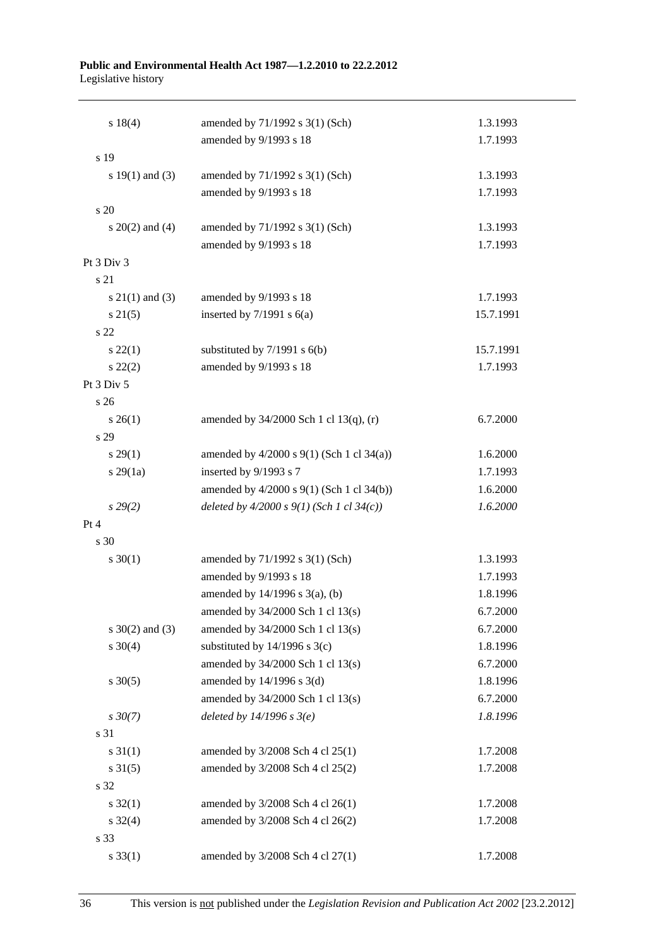#### **Public and Environmental Health Act 1987—1.2.2010 to 22.2.2012**  Legislative history

| s 18(4)             | amended by 71/1992 s 3(1) (Sch)               | 1.3.1993  |
|---------------------|-----------------------------------------------|-----------|
|                     | amended by 9/1993 s 18                        | 1.7.1993  |
| s 19                |                                               |           |
| s $19(1)$ and $(3)$ | amended by 71/1992 s 3(1) (Sch)               | 1.3.1993  |
|                     | amended by 9/1993 s 18                        | 1.7.1993  |
| s 20                |                                               |           |
| s $20(2)$ and $(4)$ | amended by 71/1992 s 3(1) (Sch)               | 1.3.1993  |
|                     | amended by 9/1993 s 18                        | 1.7.1993  |
| Pt 3 Div 3          |                                               |           |
| s 21                |                                               |           |
| $s \ 21(1)$ and (3) | amended by 9/1993 s 18                        | 1.7.1993  |
| $s \, 21(5)$        | inserted by $7/1991$ s $6(a)$                 | 15.7.1991 |
| s 22                |                                               |           |
| $s\,22(1)$          | substituted by $7/1991$ s $6(b)$              | 15.7.1991 |
| $s\ 22(2)$          | amended by 9/1993 s 18                        | 1.7.1993  |
| Pt 3 Div 5          |                                               |           |
| s 26                |                                               |           |
| $s \; 26(1)$        | amended by 34/2000 Sch 1 cl 13(q), (r)        | 6.7.2000  |
| s 29                |                                               |           |
| $s\,29(1)$          | amended by $4/2000$ s $9(1)$ (Sch 1 cl 34(a)) | 1.6.2000  |
| $s\,29(1a)$         | inserted by 9/1993 s 7                        | 1.7.1993  |
|                     | amended by 4/2000 s 9(1) (Sch 1 cl 34(b))     | 1.6.2000  |
| $s\,29(2)$          | deleted by $4/2000 s 9(1)$ (Sch 1 cl 34(c))   | 1.6.2000  |
| Pt 4                |                                               |           |
| s 30                |                                               |           |
| $s \ 30(1)$         | amended by 71/1992 s 3(1) (Sch)               | 1.3.1993  |
|                     | amended by 9/1993 s 18                        | 1.7.1993  |
|                     | amended by $14/1996$ s $3(a)$ , (b)           | 1.8.1996  |
|                     | amended by $34/2000$ Sch 1 cl $13(s)$         | 6.7.2000  |
| s $30(2)$ and $(3)$ | amended by 34/2000 Sch 1 cl 13(s)             | 6.7.2000  |
| $s \ 30(4)$         | substituted by $14/1996$ s $3(c)$             | 1.8.1996  |
|                     | amended by 34/2000 Sch 1 cl 13(s)             | 6.7.2000  |
| $s \ 30(5)$         | amended by $14/1996$ s $3(d)$                 | 1.8.1996  |
|                     | amended by 34/2000 Sch 1 cl 13(s)             | 6.7.2000  |
| $s \, 30(7)$        | deleted by $14/1996 s 3(e)$                   | 1.8.1996  |
| s 31                |                                               |           |
| $s \, 31(1)$        | amended by 3/2008 Sch 4 cl 25(1)              | 1.7.2008  |
| $s \, 31(5)$        | amended by 3/2008 Sch 4 cl 25(2)              | 1.7.2008  |
| s 32                |                                               |           |
| $s \, 32(1)$        | amended by 3/2008 Sch 4 cl 26(1)              | 1.7.2008  |
| $s \frac{32(4)}{2}$ | amended by 3/2008 Sch 4 cl 26(2)              | 1.7.2008  |
| s 33                |                                               |           |
| $s \, 33(1)$        | amended by 3/2008 Sch 4 cl 27(1)              | 1.7.2008  |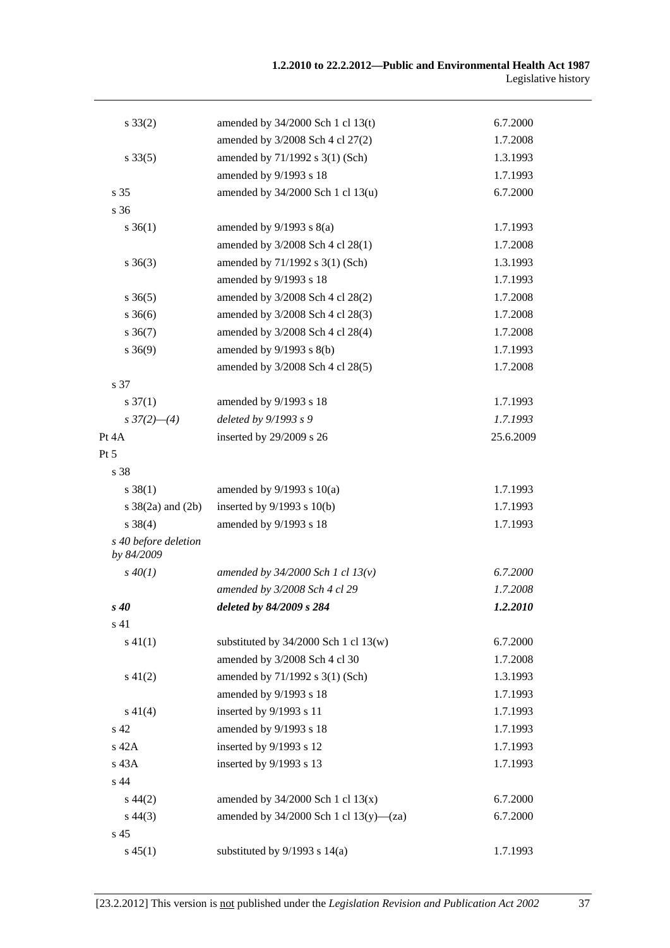| $s \, 33(2)$                       | amended by $34/2000$ Sch 1 cl 13(t)         | 6.7.2000  |
|------------------------------------|---------------------------------------------|-----------|
|                                    | amended by 3/2008 Sch 4 cl 27(2)            | 1.7.2008  |
| $s \, 33(5)$                       | amended by 71/1992 s 3(1) (Sch)             | 1.3.1993  |
|                                    | amended by 9/1993 s 18                      | 1.7.1993  |
| s 35                               | amended by 34/2000 Sch 1 cl 13(u)           | 6.7.2000  |
| s 36                               |                                             |           |
| $s \; 36(1)$                       | amended by $9/1993$ s $8(a)$                | 1.7.1993  |
|                                    | amended by 3/2008 Sch 4 cl 28(1)            | 1.7.2008  |
| $s \; 36(3)$                       | amended by 71/1992 s 3(1) (Sch)             | 1.3.1993  |
|                                    | amended by 9/1993 s 18                      | 1.7.1993  |
| $s \; 36(5)$                       | amended by 3/2008 Sch 4 cl 28(2)            | 1.7.2008  |
| $s \; 36(6)$                       | amended by 3/2008 Sch 4 cl 28(3)            | 1.7.2008  |
| $s \, 36(7)$                       | amended by 3/2008 Sch 4 cl 28(4)            | 1.7.2008  |
| $s \ 36(9)$                        | amended by $9/1993$ s $8(b)$                | 1.7.1993  |
|                                    | amended by 3/2008 Sch 4 cl 28(5)            | 1.7.2008  |
| s 37                               |                                             |           |
| $s \frac{37(1)}{2}$                | amended by 9/1993 s 18                      | 1.7.1993  |
| $s \frac{37(2)}{-4}$               | deleted by 9/1993 s 9                       | 1.7.1993  |
| Pt 4A                              | inserted by 29/2009 s 26                    | 25.6.2009 |
| Pt 5                               |                                             |           |
| s 38                               |                                             |           |
| $s \ 38(1)$                        | amended by $9/1993$ s $10(a)$               | 1.7.1993  |
| s $38(2a)$ and $(2b)$              | inserted by $9/1993$ s $10(b)$              | 1.7.1993  |
| $s \ 38(4)$                        | amended by 9/1993 s 18                      | 1.7.1993  |
| s 40 before deletion<br>by 84/2009 |                                             |           |
| $s\,40(1)$                         | amended by $34/2000$ Sch 1 cl $13(v)$       | 6.7.2000  |
|                                    | amended by 3/2008 Sch 4 cl 29               | 1.7.2008  |
| $s\,40$                            | deleted by 84/2009 s 284                    | 1.2.2010  |
| s 41                               |                                             |           |
| $s\ 41(1)$                         | substituted by $34/2000$ Sch 1 cl $13(w)$   | 6.7.2000  |
|                                    | amended by 3/2008 Sch 4 cl 30               | 1.7.2008  |
| $s\ 41(2)$                         | amended by 71/1992 s 3(1) (Sch)             | 1.3.1993  |
|                                    | amended by 9/1993 s 18                      | 1.7.1993  |
| $s\ 41(4)$                         | inserted by 9/1993 s 11                     | 1.7.1993  |
| s 42                               | amended by 9/1993 s 18                      | 1.7.1993  |
| s 42A                              | inserted by 9/1993 s 12                     | 1.7.1993  |
| s 43A                              | inserted by 9/1993 s 13                     | 1.7.1993  |
| s 44                               |                                             |           |
| $s\,44(2)$                         | amended by $34/2000$ Sch 1 cl $13(x)$       | 6.7.2000  |
| $s\,44(3)$                         | amended by $34/2000$ Sch 1 cl $13(y)$ —(za) | 6.7.2000  |
| s <sub>45</sub>                    |                                             |           |
| $s\,45(1)$                         | substituted by $9/1993$ s $14(a)$           | 1.7.1993  |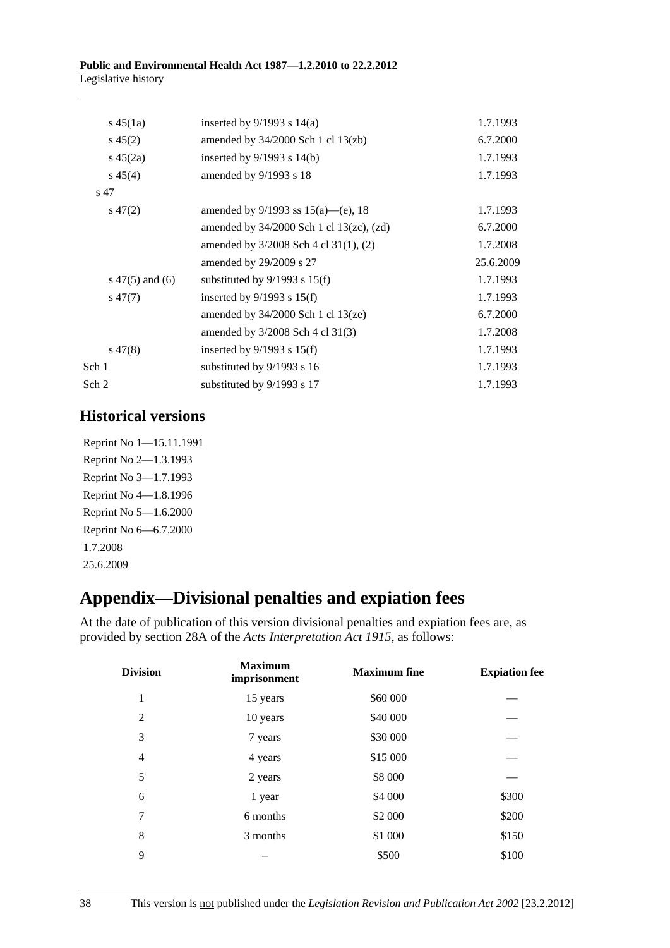<span id="page-37-0"></span>

| $s\,45(1a)$         | inserted by $9/1993$ s $14(a)$                  | 1.7.1993  |
|---------------------|-------------------------------------------------|-----------|
| $s\,45(2)$          | amended by $34/2000$ Sch 1 cl $13$ (zb)         | 6.7.2000  |
| $s\,45(2a)$         | inserted by $9/1993$ s $14(b)$                  | 1.7.1993  |
| $s\,45(4)$          | amended by 9/1993 s 18                          | 1.7.1993  |
| s 47                |                                                 |           |
| $s\,47(2)$          | amended by $9/1993$ ss $15(a)$ —(e), 18         | 1.7.1993  |
|                     | amended by $34/2000$ Sch 1 cl $13(zc)$ , $(zd)$ | 6.7.2000  |
|                     | amended by $3/2008$ Sch 4 cl 31(1), (2)         | 1.7.2008  |
|                     | amended by $29/2009$ s 27                       | 25.6.2009 |
| s $47(5)$ and $(6)$ | substituted by $9/1993$ s $15(f)$               | 1.7.1993  |
| $s\,47(7)$          | inserted by $9/1993$ s $15(f)$                  | 1.7.1993  |
|                     | amended by $34/2000$ Sch 1 cl $13(ze)$          | 6.7.2000  |
|                     | amended by $3/2008$ Sch 4 cl 31(3)              | 1.7.2008  |
| $s\,47(8)$          | inserted by $9/1993$ s $15(f)$                  | 1.7.1993  |
| Sch 1               | substituted by 9/1993 s 16                      | 1.7.1993  |
| Sch 2               | substituted by 9/1993 s 17                      | 1.7.1993  |

# **Historical versions**

Reprint No 1—15.11.1991 Reprint No 2—1.3.1993 Reprint No 3—1.7.1993 Reprint No 4—1.8.1996 Reprint No 5—1.6.2000 Reprint No 6—6.7.2000 1.7.2008 25.6.2009

# **Appendix—Divisional penalties and expiation fees**

At the date of publication of this version divisional penalties and expiation fees are, as provided by section 28A of the *[Acts Interpretation Act 1915](http://www.legislation.sa.gov.au/index.aspx?action=legref&type=act&legtitle=Acts%20Interpretation%20Act%201915)*, as follows:

| <b>Division</b> | <b>Maximum</b><br>imprisonment | <b>Maximum</b> fine | <b>Expiation fee</b> |
|-----------------|--------------------------------|---------------------|----------------------|
| 1               | 15 years                       | \$60 000            |                      |
| $\overline{2}$  | 10 years                       | \$40 000            |                      |
| 3               | 7 years                        | \$30 000            |                      |
| $\overline{4}$  | 4 years                        | \$15 000            |                      |
| 5               | 2 years                        | \$8 000             |                      |
| 6               | 1 year                         | \$4 000             | \$300                |
| 7               | 6 months                       | \$2 000             | \$200                |
| 8               | 3 months                       | \$1 000             | \$150                |
| 9               |                                | \$500               | \$100                |